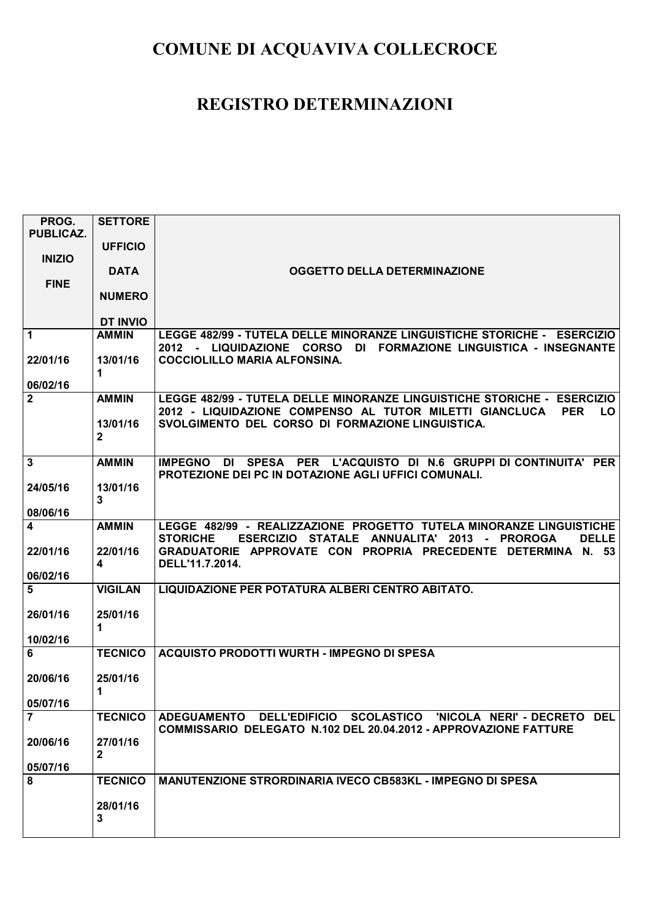| PROG.                   | <b>SETTORE</b>           |                                                                                                                                                         |
|-------------------------|--------------------------|---------------------------------------------------------------------------------------------------------------------------------------------------------|
| <b>PUBLICAZ.</b>        |                          |                                                                                                                                                         |
| <b>INIZIO</b>           | <b>UFFICIO</b>           |                                                                                                                                                         |
|                         | <b>DATA</b>              | <b>OGGETTO DELLA DETERMINAZIONE</b>                                                                                                                     |
| <b>FINE</b>             |                          |                                                                                                                                                         |
|                         | <b>NUMERO</b>            |                                                                                                                                                         |
|                         |                          |                                                                                                                                                         |
|                         | DT INVIO                 |                                                                                                                                                         |
| $\mathbf 1$             | <b>AMMIN</b>             | LEGGE 482/99 - TUTELA DELLE MINORANZE LINGUISTICHE STORICHE - ESERCIZIO<br>2012 - LIQUIDAZIONE CORSO DI FORMAZIONE LINGUISTICA - INSEGNANTE             |
| 22/01/16                | 13/01/16                 | <b>COCCIOLILLO MARIA ALFONSINA.</b>                                                                                                                     |
|                         | 1                        |                                                                                                                                                         |
| 06/02/16                |                          |                                                                                                                                                         |
| $\overline{2}$          | <b>AMMIN</b>             | LEGGE 482/99 - TUTELA DELLE MINORANZE LINGUISTICHE STORICHE - ESERCIZIO<br>2012 - LIQUIDAZIONE COMPENSO AL TUTOR MILETTI GIANCLUCA<br><b>PER</b><br>LO. |
|                         | 13/01/16                 | SVOLGIMENTO DEL CORSO DI FORMAZIONE LINGUISTICA.                                                                                                        |
|                         | $\mathbf{2}$             |                                                                                                                                                         |
| $\mathbf{3}$            | <b>AMMIN</b>             | IMPEGNO DI SPESA PER L'ACQUISTO DI N.6 GRUPPI DI CONTINUITA' PER                                                                                        |
|                         |                          | <b>PROTEZIONE DEI PC IN DOTAZIONE AGLI UFFICI COMUNALI.</b>                                                                                             |
| 24/05/16                | 13/01/16                 |                                                                                                                                                         |
| 08/06/16                | 3                        |                                                                                                                                                         |
| $\overline{\mathbf{4}}$ | <b>AMMIN</b>             | LEGGE 482/99 - REALIZZAZIONE PROGETTO TUTELA MINORANZE LINGUISTICHE                                                                                     |
|                         |                          | ESERCIZIO STATALE ANNUALITA' 2013 - PROROGA<br><b>STORICHE</b><br><b>DELLE</b>                                                                          |
| 22/01/16                | 22/01/16                 | GRADUATORIE APPROVATE CON PROPRIA PRECEDENTE DETERMINA N. 53                                                                                            |
|                         | 4                        | DELL'11.7.2014.                                                                                                                                         |
| 06/02/16<br>5           | <b>VIGILAN</b>           | LIQUIDAZIONE PER POTATURA ALBERI CENTRO ABITATO.                                                                                                        |
|                         |                          |                                                                                                                                                         |
| 26/01/16                | 25/01/16                 |                                                                                                                                                         |
|                         | 1                        |                                                                                                                                                         |
| 10/02/16                |                          |                                                                                                                                                         |
| 6                       | <b>TECNICO</b>           | ACQUISTO PRODOTTI WURTH - IMPEGNO DI SPESA                                                                                                              |
| 20/06/16                | 25/01/16                 |                                                                                                                                                         |
|                         | 1                        |                                                                                                                                                         |
| 05/07/16                |                          |                                                                                                                                                         |
| $\overline{7}$          | <b>TECNICO</b>           | ADEGUAMENTO DELL'EDIFICIO SCOLASTICO 'NICOLA NERI' - DECRETO DEL<br>COMMISSARIO DELEGATO N.102 DEL 20.04.2012 - APPROVAZIONE FATTURE                    |
| 20/06/16                | 27/01/16<br>$\mathbf{2}$ |                                                                                                                                                         |
| 05/07/16                |                          |                                                                                                                                                         |
| 8                       | <b>TECNICO</b>           | <b>MANUTENZIONE STRORDINARIA IVECO CB583KL - IMPEGNO DI SPESA</b>                                                                                       |
|                         | 28/01/16                 |                                                                                                                                                         |
|                         | 3                        |                                                                                                                                                         |
|                         |                          |                                                                                                                                                         |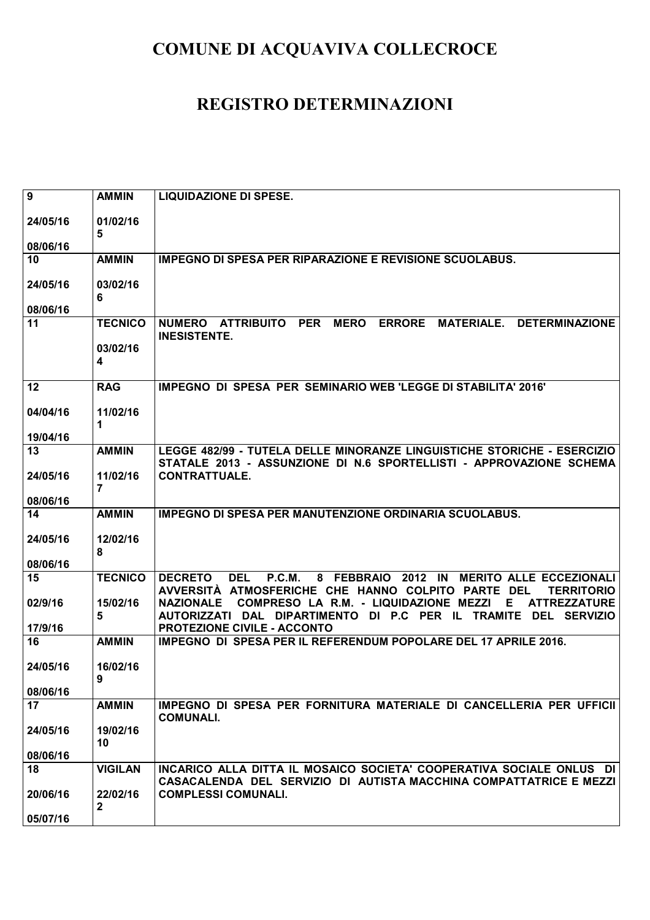| 9        | <b>AMMIN</b>             | <b>LIQUIDAZIONE DI SPESE.</b>                                                                                                                                   |
|----------|--------------------------|-----------------------------------------------------------------------------------------------------------------------------------------------------------------|
| 24/05/16 | 01/02/16<br>5            |                                                                                                                                                                 |
| 08/06/16 |                          |                                                                                                                                                                 |
| 10       | <b>AMMIN</b>             | <b>IMPEGNO DI SPESA PER RIPARAZIONE E REVISIONE SCUOLABUS.</b>                                                                                                  |
| 24/05/16 | 03/02/16<br>6            |                                                                                                                                                                 |
| 08/06/16 |                          |                                                                                                                                                                 |
| 11       | <b>TECNICO</b>           | NUMERO ATTRIBUITO PER<br><b>MERO ERRORE</b><br><b>MATERIALE.</b><br><b>DETERMINAZIONE</b><br><b>INESISTENTE.</b>                                                |
|          | 03/02/16<br>4            |                                                                                                                                                                 |
| 12       | <b>RAG</b>               | <b>IMPEGNO DI SPESA PER SEMINARIO WEB 'LEGGE DI STABILITA' 2016'</b>                                                                                            |
| 04/04/16 | 11/02/16<br>1            |                                                                                                                                                                 |
| 19/04/16 |                          |                                                                                                                                                                 |
| 13       | <b>AMMIN</b>             | LEGGE 482/99 - TUTELA DELLE MINORANZE LINGUISTICHE STORICHE - ESERCIZIO<br>STATALE 2013 - ASSUNZIONE DI N.6 SPORTELLISTI - APPROVAZIONE SCHEMA                  |
| 24/05/16 | 11/02/16<br>7            | <b>CONTRATTUALE.</b>                                                                                                                                            |
| 08/06/16 |                          |                                                                                                                                                                 |
| 14       | <b>AMMIN</b>             | <b>IMPEGNO DI SPESA PER MANUTENZIONE ORDINARIA SCUOLABUS.</b>                                                                                                   |
| 24/05/16 | 12/02/16<br>8            |                                                                                                                                                                 |
| 08/06/16 |                          |                                                                                                                                                                 |
| 15       | <b>TECNICO</b>           | 8 FEBBRAIO 2012 IN MERITO ALLE ECCEZIONALI<br><b>DECRETO</b><br><b>DEL</b><br>P.C.M.<br>AVVERSITÀ ATMOSFERICHE CHE HANNO COLPITO PARTE DEL<br><b>TERRITORIO</b> |
| 02/9/16  | 15/02/16                 | COMPRESO LA R.M. - LIQUIDAZIONE MEZZI<br><b>ATTREZZATURE</b><br><b>NAZIONALE</b><br>Е                                                                           |
| 17/9/16  | 5                        | AUTORIZZATI DAL DIPARTIMENTO DI P.C PER IL TRAMITE DEL SERVIZIO                                                                                                 |
|          |                          | <b>PROTEZIONE CIVILE - ACCONTO</b>                                                                                                                              |
| 16       | <b>AMMIN</b>             | IMPEGNO DI SPESA PER IL REFERENDUM POPOLARE DEL 17 APRILE 2016.                                                                                                 |
| 24/05/16 | 16/02/16                 |                                                                                                                                                                 |
| 08/06/16 | 9                        |                                                                                                                                                                 |
| 17       | <b>AMMIN</b>             | IMPEGNO DI SPESA PER FORNITURA MATERIALE DI CANCELLERIA PER UFFICII                                                                                             |
| 24/05/16 | 19/02/16<br>10           | <b>COMUNALI.</b>                                                                                                                                                |
| 08/06/16 |                          |                                                                                                                                                                 |
| 18       | <b>VIGILAN</b>           | INCARICO ALLA DITTA IL MOSAICO SOCIETA' COOPERATIVA SOCIALE ONLUS DI<br>CASACALENDA DEL SERVIZIO DI AUTISTA MACCHINA COMPATTATRICE E MEZZI                      |
| 20/06/16 | 22/02/16<br>$\mathbf{2}$ | <b>COMPLESSI COMUNALI.</b>                                                                                                                                      |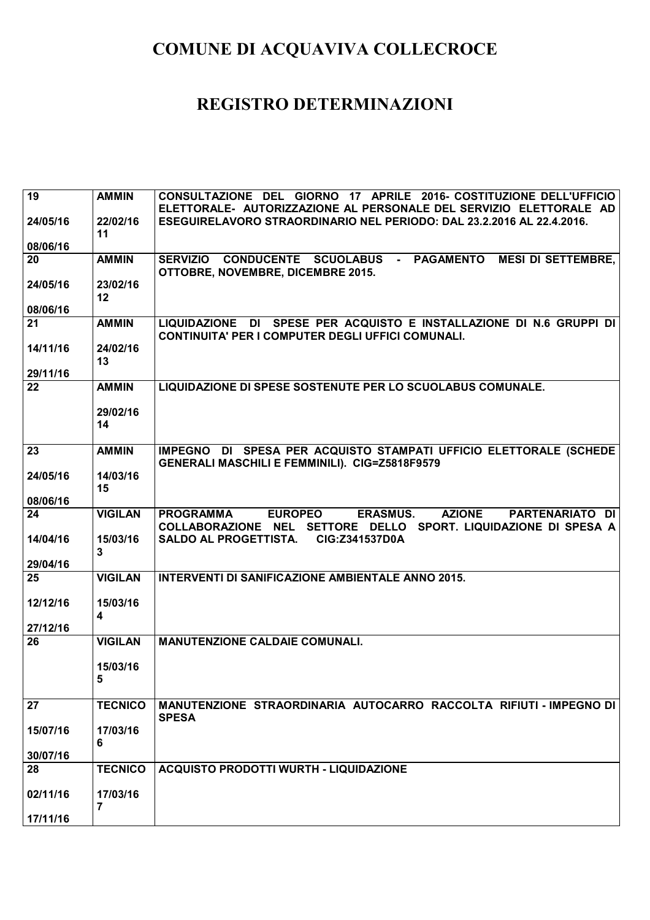| 19       | <b>AMMIN</b>   | CONSULTAZIONE DEL GIORNO 17 APRILE 2016- COSTITUZIONE DELL'UFFICIO                        |
|----------|----------------|-------------------------------------------------------------------------------------------|
|          |                | ELETTORALE- AUTORIZZAZIONE AL PERSONALE DEL SERVIZIO ELETTORALE AD                        |
| 24/05/16 | 22/02/16       | ESEGUIRELAVORO STRAORDINARIO NEL PERIODO: DAL 23.2.2016 AL 22.4.2016.                     |
|          | 11             |                                                                                           |
| 08/06/16 |                |                                                                                           |
| 20       | <b>AMMIN</b>   | SERVIZIO CONDUCENTE SCUOLABUS - PAGAMENTO<br><b>MESI DI SETTEMBRE,</b>                    |
|          |                | OTTOBRE, NOVEMBRE, DICEMBRE 2015.                                                         |
| 24/05/16 | 23/02/16       |                                                                                           |
| 08/06/16 | 12             |                                                                                           |
| 21       | <b>AMMIN</b>   | LIQUIDAZIONE DI SPESE PER ACQUISTO E INSTALLAZIONE DI N.6 GRUPPI DI                       |
|          |                | CONTINUITA' PER I COMPUTER DEGLI UFFICI COMUNALI.                                         |
| 14/11/16 | 24/02/16       |                                                                                           |
|          | 13             |                                                                                           |
| 29/11/16 |                |                                                                                           |
| 22       | <b>AMMIN</b>   | LIQUIDAZIONE DI SPESE SOSTENUTE PER LO SCUOLABUS COMUNALE.                                |
|          |                |                                                                                           |
|          | 29/02/16       |                                                                                           |
|          | 14             |                                                                                           |
|          |                |                                                                                           |
| 23       | <b>AMMIN</b>   | IMPEGNO DI SPESA PER ACQUISTO STAMPATI UFFICIO ELETTORALE (SCHEDE                         |
|          |                | <b>GENERALI MASCHILI E FEMMINILI). CIG=Z5818F9579</b>                                     |
| 24/05/16 | 14/03/16       |                                                                                           |
| 08/06/16 | 15             |                                                                                           |
| 24       | <b>VIGILAN</b> | <b>ERASMUS.</b><br><b>PROGRAMMA</b><br><b>EUROPEO</b><br><b>AZIONE</b><br>PARTENARIATO DI |
|          |                | COLLABORAZIONE NEL SETTORE DELLO SPORT. LIQUIDAZIONE DI SPESA A                           |
| 14/04/16 | 15/03/16       | SALDO AL PROGETTISTA.<br>CIG:Z341537D0A                                                   |
|          | 3              |                                                                                           |
| 29/04/16 |                |                                                                                           |
| 25       | <b>VIGILAN</b> | <b>INTERVENTI DI SANIFICAZIONE AMBIENTALE ANNO 2015.</b>                                  |
|          |                |                                                                                           |
| 12/12/16 | 15/03/16       |                                                                                           |
|          | 4              |                                                                                           |
| 27/12/16 |                |                                                                                           |
| 26       | <b>VIGILAN</b> | <b>MANUTENZIONE CALDAIE COMUNALI.</b>                                                     |
|          |                |                                                                                           |
|          | 15/03/16<br>5  |                                                                                           |
|          |                |                                                                                           |
| 27       | <b>TECNICO</b> | MANUTENZIONE STRAORDINARIA AUTOCARRO RACCOLTA RIFIUTI - IMPEGNO DI                        |
|          |                |                                                                                           |
| 15/07/16 |                |                                                                                           |
|          | 17/03/16       | <b>SPESA</b>                                                                              |
|          | 6              |                                                                                           |
| 30/07/16 |                |                                                                                           |
| 28       | <b>TECNICO</b> | ACQUISTO PRODOTTI WURTH - LIQUIDAZIONE                                                    |
|          |                |                                                                                           |
| 02/11/16 | 17/03/16       |                                                                                           |
| 17/11/16 | 7              |                                                                                           |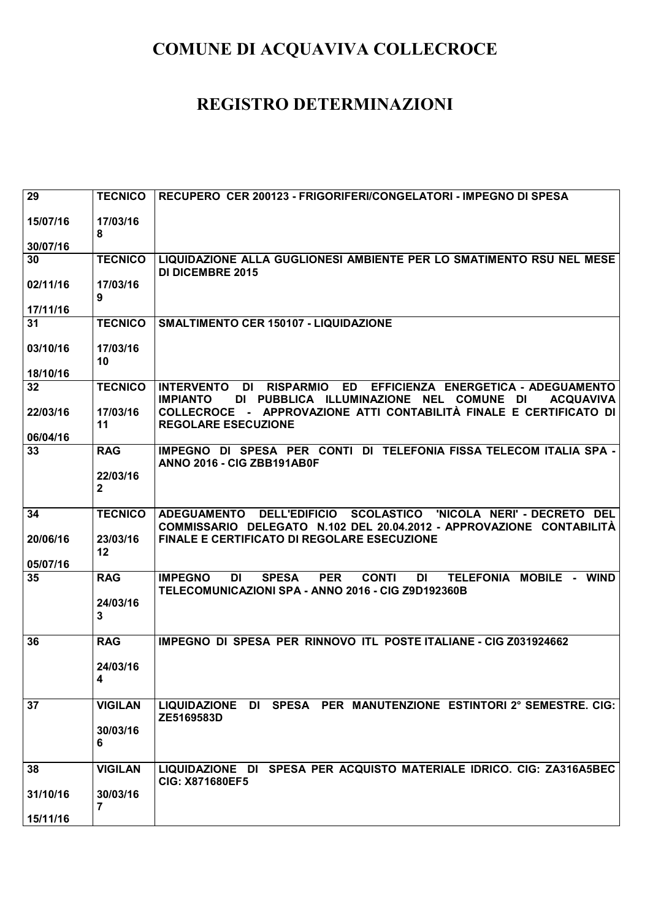| 29              | <b>TECNICO</b>           | RECUPERO CER 200123 - FRIGORIFERI/CONGELATORI - IMPEGNO DI SPESA                                                                                              |
|-----------------|--------------------------|---------------------------------------------------------------------------------------------------------------------------------------------------------------|
| 15/07/16        | 17/03/16<br>8            |                                                                                                                                                               |
| 30/07/16        |                          |                                                                                                                                                               |
| 30              | <b>TECNICO</b>           | LIQUIDAZIONE ALLA GUGLIONESI AMBIENTE PER LO SMATIMENTO RSU NEL MESE<br><b>DI DICEMBRE 2015</b>                                                               |
| 02/11/16        | 17/03/16<br>9            |                                                                                                                                                               |
| 17/11/16        |                          |                                                                                                                                                               |
| 31              | <b>TECNICO</b>           | SMALTIMENTO CER 150107 - LIQUIDAZIONE                                                                                                                         |
| 03/10/16        | 17/03/16<br>10           |                                                                                                                                                               |
| 18/10/16        |                          |                                                                                                                                                               |
| 32              | <b>TECNICO</b>           | ED EFFICIENZA ENERGETICA - ADEGUAMENTO<br><b>INTERVENTO</b><br>DI RISPARMIO<br>DI PUBBLICA ILLUMINAZIONE NEL COMUNE DI<br><b>IMPIANTO</b><br><b>ACQUAVIVA</b> |
| 22/03/16        | 17/03/16<br>11           | COLLECROCE - APPROVAZIONE ATTI CONTABILITÀ FINALE E CERTIFICATO DI<br><b>REGOLARE ESECUZIONE</b>                                                              |
| 06/04/16        |                          |                                                                                                                                                               |
| 33              | <b>RAG</b>               | IMPEGNO DI SPESA PER CONTI DI TELEFONIA FISSA TELECOM ITALIA SPA -<br>ANNO 2016 - CIG ZBB191AB0F                                                              |
|                 | 22/03/16<br>$\mathbf{2}$ |                                                                                                                                                               |
| 34              | <b>TECNICO</b>           | ADEGUAMENTO DELL'EDIFICIO SCOLASTICO 'NICOLA NERI' - DECRETO DEL<br>COMMISSARIO DELEGATO N.102 DEL 20.04.2012 - APPROVAZIONE CONTABILITÀ                      |
| 20/06/16        | 23/03/16<br>12           | FINALE E CERTIFICATO DI REGOLARE ESECUZIONE                                                                                                                   |
| 05/07/16        |                          |                                                                                                                                                               |
| 35              | <b>RAG</b>               | <b>SPESA</b><br><b>PER</b><br><b>CONTI</b><br>DI<br>TELEFONIA MOBILE - WIND<br><b>IMPEGNO</b><br>DI<br>TELECOMUNICAZIONI SPA - ANNO 2016 - CIG Z9D192360B     |
|                 | 24/03/16<br>3            |                                                                                                                                                               |
|                 |                          |                                                                                                                                                               |
| 36              | <b>RAG</b>               | IMPEGNO DI SPESA PER RINNOVO ITL POSTE ITALIANE - CIG Z031924662                                                                                              |
|                 | 24/03/16<br>4            |                                                                                                                                                               |
| $\overline{37}$ | <b>VIGILAN</b>           | LIQUIDAZIONE DI SPESA PER MANUTENZIONE ESTINTORI 2º SEMESTRE. CIG:<br>ZE5169583D                                                                              |
|                 | 30/03/16<br>6            |                                                                                                                                                               |
| 38              | <b>VIGILAN</b>           | LIQUIDAZIONE DI SPESA PER ACQUISTO MATERIALE IDRICO. CIG: ZA316A5BEC<br><b>CIG: X871680EF5</b>                                                                |
| 31/10/16        | 30/03/16<br>7            |                                                                                                                                                               |
| 15/11/16        |                          |                                                                                                                                                               |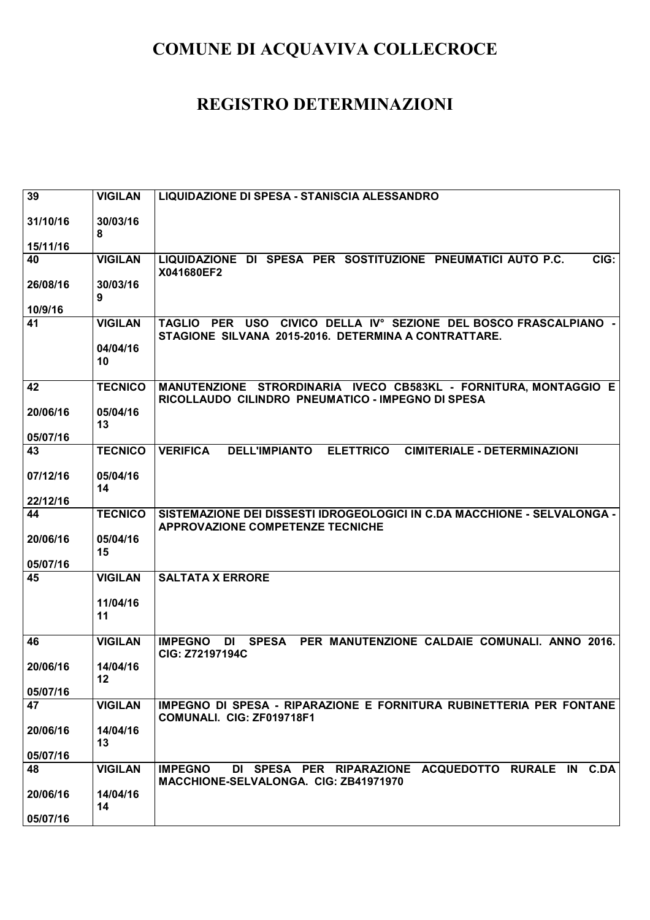| 39       | <b>VIGILAN</b>  | LIQUIDAZIONE DI SPESA - STANISCIA ALESSANDRO                                                                                |
|----------|-----------------|-----------------------------------------------------------------------------------------------------------------------------|
| 31/10/16 | 30/03/16<br>8   |                                                                                                                             |
| 15/11/16 |                 |                                                                                                                             |
| 40       | <b>VIGILAN</b>  | LIQUIDAZIONE DI SPESA PER SOSTITUZIONE PNEUMATICI AUTO P.C.<br>CIG:<br>X041680EF2                                           |
| 26/08/16 | 30/03/16        |                                                                                                                             |
|          | 9               |                                                                                                                             |
| 10/9/16  |                 |                                                                                                                             |
| 41       | <b>VIGILAN</b>  | TAGLIO PER<br>USO CIVICO DELLA IVº SEZIONE DEL BOSCO FRASCALPIANO -<br>STAGIONE SILVANA 2015-2016. DETERMINA A CONTRATTARE. |
|          | 04/04/16<br>10  |                                                                                                                             |
| 42       | <b>TECNICO</b>  | MANUTENZIONE STRORDINARIA IVECO CB583KL - FORNITURA, MONTAGGIO E                                                            |
|          |                 | RICOLLAUDO CILINDRO PNEUMATICO - IMPEGNO DI SPESA                                                                           |
| 20/06/16 | 05/04/16<br>13  |                                                                                                                             |
| 05/07/16 |                 |                                                                                                                             |
| 43       | <b>TECNICO</b>  | <b>DELL'IMPIANTO</b><br><b>VERIFICA</b><br><b>ELETTRICO</b><br><b>CIMITERIALE - DETERMINAZIONI</b>                          |
| 07/12/16 | 05/04/16        |                                                                                                                             |
|          | 14              |                                                                                                                             |
| 22/12/16 |                 |                                                                                                                             |
| 44       | <b>TECNICO</b>  | SISTEMAZIONE DEI DISSESTI IDROGEOLOGICI IN C.DA MACCHIONE - SELVALONGA -<br><b>APPROVAZIONE COMPETENZE TECNICHE</b>         |
|          | 05/04/16        |                                                                                                                             |
| 20/06/16 |                 |                                                                                                                             |
|          | 15              |                                                                                                                             |
| 05/07/16 |                 |                                                                                                                             |
| 45       | <b>VIGILAN</b>  | <b>SALTATA X ERRORE</b>                                                                                                     |
|          | 11/04/16        |                                                                                                                             |
|          | 11              |                                                                                                                             |
|          |                 |                                                                                                                             |
| 46       | <b>VIGILAN</b>  | <b>IMPEGNO</b><br>SPESA PER MANUTENZIONE CALDAIE COMUNALI. ANNO 2016.<br>DI<br>CIG: Z72197194C                              |
| 20/06/16 | 14/04/16        |                                                                                                                             |
|          | 12 <sub>2</sub> |                                                                                                                             |
| 05/07/16 |                 |                                                                                                                             |
| 47       | <b>VIGILAN</b>  | IMPEGNO DI SPESA - RIPARAZIONE E FORNITURA RUBINETTERIA PER FONTANE<br>COMUNALI. CIG: ZF019718F1                            |
| 20/06/16 | 14/04/16        |                                                                                                                             |
|          | 13              |                                                                                                                             |
| 05/07/16 |                 |                                                                                                                             |
| 48       | <b>VIGILAN</b>  | DI SPESA PER RIPARAZIONE ACQUEDOTTO RURALE IN C.DA<br><b>IMPEGNO</b><br>MACCHIONE-SELVALONGA. CIG: ZB41971970               |
| 20/06/16 | 14/04/16        |                                                                                                                             |
| 05/07/16 | 14              |                                                                                                                             |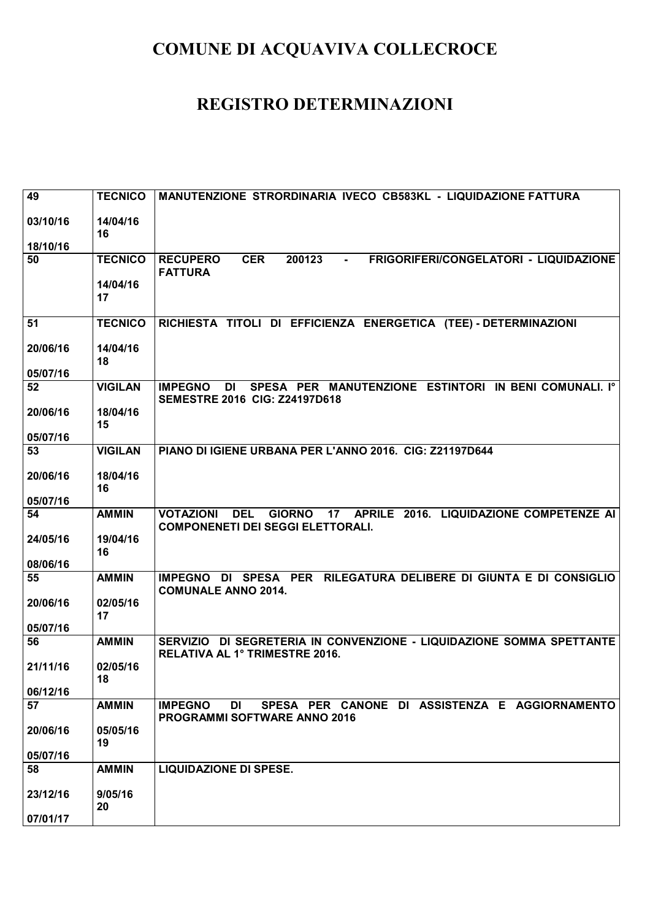| 03/10/16<br>14/04/16<br>16<br>18/10/16<br>50<br><b>TECNICO</b><br><b>CER</b><br>200123<br>FRIGORIFERI/CONGELATORI - LIQUIDAZIONE<br><b>RECUPERO</b><br>$\blacksquare$<br><b>FATTURA</b><br>14/04/16<br>17<br><b>TECNICO</b><br>RICHIESTA TITOLI DI EFFICIENZA ENERGETICA (TEE) - DETERMINAZIONI<br>51<br>20/06/16<br>14/04/16<br>18<br>05/07/16<br><b>VIGILAN</b><br>SPESA PER MANUTENZIONE ESTINTORI<br><b>IMPEGNO</b><br>DI<br>IN BENI COMUNALI. I°<br>52<br>SEMESTRE 2016 CIG: Z24197D618<br>20/06/16<br>18/04/16<br>15<br>05/07/16<br>PIANO DI IGIENE URBANA PER L'ANNO 2016. CIG: Z21197D644<br>53<br><b>VIGILAN</b><br>18/04/16<br>20/06/16<br>16<br>05/07/16<br><b>AMMIN</b><br>APRILE 2016. LIQUIDAZIONE COMPETENZE AI<br>54<br><b>VOTAZIONI</b><br><b>DEL</b><br><b>GIORNO</b><br>17<br><b>COMPONENETI DEI SEGGI ELETTORALI.</b><br>19/04/16<br>24/05/16<br>16<br>08/06/16 | 49 | <b>TECNICO</b> | MANUTENZIONE STRORDINARIA IVECO CB583KL - LIQUIDAZIONE FATTURA    |
|-------------------------------------------------------------------------------------------------------------------------------------------------------------------------------------------------------------------------------------------------------------------------------------------------------------------------------------------------------------------------------------------------------------------------------------------------------------------------------------------------------------------------------------------------------------------------------------------------------------------------------------------------------------------------------------------------------------------------------------------------------------------------------------------------------------------------------------------------------------------------------------|----|----------------|-------------------------------------------------------------------|
|                                                                                                                                                                                                                                                                                                                                                                                                                                                                                                                                                                                                                                                                                                                                                                                                                                                                                     |    |                |                                                                   |
|                                                                                                                                                                                                                                                                                                                                                                                                                                                                                                                                                                                                                                                                                                                                                                                                                                                                                     |    |                |                                                                   |
|                                                                                                                                                                                                                                                                                                                                                                                                                                                                                                                                                                                                                                                                                                                                                                                                                                                                                     |    |                |                                                                   |
|                                                                                                                                                                                                                                                                                                                                                                                                                                                                                                                                                                                                                                                                                                                                                                                                                                                                                     |    |                |                                                                   |
|                                                                                                                                                                                                                                                                                                                                                                                                                                                                                                                                                                                                                                                                                                                                                                                                                                                                                     |    |                |                                                                   |
|                                                                                                                                                                                                                                                                                                                                                                                                                                                                                                                                                                                                                                                                                                                                                                                                                                                                                     |    |                |                                                                   |
|                                                                                                                                                                                                                                                                                                                                                                                                                                                                                                                                                                                                                                                                                                                                                                                                                                                                                     |    |                |                                                                   |
|                                                                                                                                                                                                                                                                                                                                                                                                                                                                                                                                                                                                                                                                                                                                                                                                                                                                                     |    |                |                                                                   |
|                                                                                                                                                                                                                                                                                                                                                                                                                                                                                                                                                                                                                                                                                                                                                                                                                                                                                     |    |                |                                                                   |
|                                                                                                                                                                                                                                                                                                                                                                                                                                                                                                                                                                                                                                                                                                                                                                                                                                                                                     |    |                |                                                                   |
|                                                                                                                                                                                                                                                                                                                                                                                                                                                                                                                                                                                                                                                                                                                                                                                                                                                                                     |    |                |                                                                   |
|                                                                                                                                                                                                                                                                                                                                                                                                                                                                                                                                                                                                                                                                                                                                                                                                                                                                                     |    |                |                                                                   |
|                                                                                                                                                                                                                                                                                                                                                                                                                                                                                                                                                                                                                                                                                                                                                                                                                                                                                     |    |                |                                                                   |
|                                                                                                                                                                                                                                                                                                                                                                                                                                                                                                                                                                                                                                                                                                                                                                                                                                                                                     |    |                |                                                                   |
|                                                                                                                                                                                                                                                                                                                                                                                                                                                                                                                                                                                                                                                                                                                                                                                                                                                                                     |    |                |                                                                   |
|                                                                                                                                                                                                                                                                                                                                                                                                                                                                                                                                                                                                                                                                                                                                                                                                                                                                                     |    |                |                                                                   |
|                                                                                                                                                                                                                                                                                                                                                                                                                                                                                                                                                                                                                                                                                                                                                                                                                                                                                     |    |                |                                                                   |
|                                                                                                                                                                                                                                                                                                                                                                                                                                                                                                                                                                                                                                                                                                                                                                                                                                                                                     |    |                |                                                                   |
|                                                                                                                                                                                                                                                                                                                                                                                                                                                                                                                                                                                                                                                                                                                                                                                                                                                                                     |    |                |                                                                   |
|                                                                                                                                                                                                                                                                                                                                                                                                                                                                                                                                                                                                                                                                                                                                                                                                                                                                                     |    |                |                                                                   |
|                                                                                                                                                                                                                                                                                                                                                                                                                                                                                                                                                                                                                                                                                                                                                                                                                                                                                     |    |                |                                                                   |
|                                                                                                                                                                                                                                                                                                                                                                                                                                                                                                                                                                                                                                                                                                                                                                                                                                                                                     | 55 | <b>AMMIN</b>   | IMPEGNO DI SPESA PER RILEGATURA DELIBERE DI GIUNTA E DI CONSIGLIO |
| <b>COMUNALE ANNO 2014.</b>                                                                                                                                                                                                                                                                                                                                                                                                                                                                                                                                                                                                                                                                                                                                                                                                                                                          |    |                |                                                                   |
| 20/06/16<br>02/05/16                                                                                                                                                                                                                                                                                                                                                                                                                                                                                                                                                                                                                                                                                                                                                                                                                                                                |    |                |                                                                   |
| 17                                                                                                                                                                                                                                                                                                                                                                                                                                                                                                                                                                                                                                                                                                                                                                                                                                                                                  |    |                |                                                                   |
| 05/07/16                                                                                                                                                                                                                                                                                                                                                                                                                                                                                                                                                                                                                                                                                                                                                                                                                                                                            |    |                |                                                                   |
| <b>AMMIN</b><br>SERVIZIO DI SEGRETERIA IN CONVENZIONE - LIQUIDAZIONE SOMMA SPETTANTE<br>56<br>RELATIVA AL 1° TRIMESTRE 2016.                                                                                                                                                                                                                                                                                                                                                                                                                                                                                                                                                                                                                                                                                                                                                        |    |                |                                                                   |
| 21/11/16<br>02/05/16                                                                                                                                                                                                                                                                                                                                                                                                                                                                                                                                                                                                                                                                                                                                                                                                                                                                |    |                |                                                                   |
| 18                                                                                                                                                                                                                                                                                                                                                                                                                                                                                                                                                                                                                                                                                                                                                                                                                                                                                  |    |                |                                                                   |
| 06/12/16                                                                                                                                                                                                                                                                                                                                                                                                                                                                                                                                                                                                                                                                                                                                                                                                                                                                            |    |                |                                                                   |
| <b>AMMIN</b><br>SPESA PER CANONE DI ASSISTENZA E AGGIORNAMENTO<br>57<br><b>IMPEGNO</b><br>DI<br><b>PROGRAMMI SOFTWARE ANNO 2016</b>                                                                                                                                                                                                                                                                                                                                                                                                                                                                                                                                                                                                                                                                                                                                                 |    |                |                                                                   |
| 20/06/16<br>05/05/16                                                                                                                                                                                                                                                                                                                                                                                                                                                                                                                                                                                                                                                                                                                                                                                                                                                                |    |                |                                                                   |
| 19<br>05/07/16                                                                                                                                                                                                                                                                                                                                                                                                                                                                                                                                                                                                                                                                                                                                                                                                                                                                      |    |                |                                                                   |
| <b>AMMIN</b><br>58<br><b>LIQUIDAZIONE DI SPESE.</b>                                                                                                                                                                                                                                                                                                                                                                                                                                                                                                                                                                                                                                                                                                                                                                                                                                 |    |                |                                                                   |
|                                                                                                                                                                                                                                                                                                                                                                                                                                                                                                                                                                                                                                                                                                                                                                                                                                                                                     |    |                |                                                                   |
| 23/12/16<br>9/05/16                                                                                                                                                                                                                                                                                                                                                                                                                                                                                                                                                                                                                                                                                                                                                                                                                                                                 |    |                |                                                                   |
| 20<br>07/01/17                                                                                                                                                                                                                                                                                                                                                                                                                                                                                                                                                                                                                                                                                                                                                                                                                                                                      |    |                |                                                                   |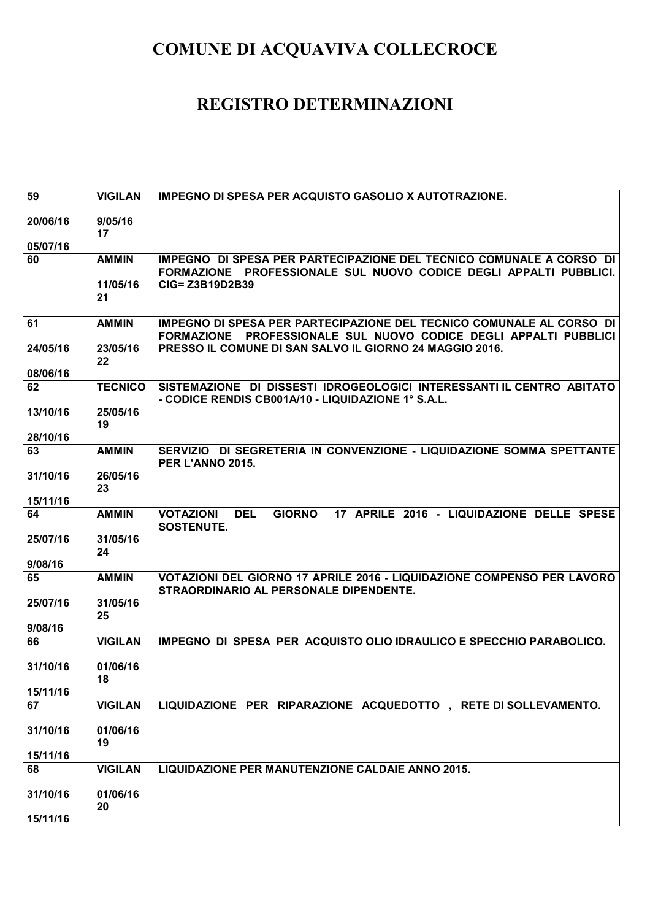| 59             | <b>VIGILAN</b> | IMPEGNO DI SPESA PER ACQUISTO GASOLIO X AUTOTRAZIONE.                                                             |
|----------------|----------------|-------------------------------------------------------------------------------------------------------------------|
|                |                |                                                                                                                   |
| 20/06/16       | 9/05/16<br>17  |                                                                                                                   |
| 05/07/16       |                |                                                                                                                   |
| 60             | <b>AMMIN</b>   | IMPEGNO DI SPESA PER PARTECIPAZIONE DEL TECNICO COMUNALE A CORSO DI                                               |
|                |                | FORMAZIONE PROFESSIONALE SUL NUOVO CODICE DEGLI APPALTI PUBBLICI.                                                 |
|                | 11/05/16       | CIG= Z3B19D2B39                                                                                                   |
|                | 21             |                                                                                                                   |
| 61             | <b>AMMIN</b>   | IMPEGNO DI SPESA PER PARTECIPAZIONE DEL TECNICO COMUNALE AL CORSO DI                                              |
|                |                | FORMAZIONE PROFESSIONALE SUL NUOVO CODICE DEGLI APPALTI PUBBLICI                                                  |
| 24/05/16       | 23/05/16       | PRESSO IL COMUNE DI SAN SALVO IL GIORNO 24 MAGGIO 2016.                                                           |
|                | 22             |                                                                                                                   |
| 08/06/16<br>62 | <b>TECNICO</b> | SISTEMAZIONE DI DISSESTI IDROGEOLOGICI INTERESSANTI IL CENTRO ABITATO                                             |
|                |                | - CODICE RENDIS CB001A/10 - LIQUIDAZIONE 1° S.A.L.                                                                |
| 13/10/16       | 25/05/16       |                                                                                                                   |
|                | 19             |                                                                                                                   |
| 28/10/16       |                |                                                                                                                   |
| 63             | <b>AMMIN</b>   | SERVIZIO DI SEGRETERIA IN CONVENZIONE - LIQUIDAZIONE SOMMA SPETTANTE<br>PER L'ANNO 2015.                          |
| 31/10/16       | 26/05/16       |                                                                                                                   |
|                | 23             |                                                                                                                   |
| 15/11/16       |                |                                                                                                                   |
| 64             | <b>AMMIN</b>   | <b>DEL</b><br><b>GIORNO</b><br>17 APRILE 2016 - LIQUIDAZIONE DELLE SPESE<br><b>VOTAZIONI</b><br><b>SOSTENUTE.</b> |
| 25/07/16       | 31/05/16       |                                                                                                                   |
|                | 24             |                                                                                                                   |
| 9/08/16<br>65  | <b>AMMIN</b>   | VOTAZIONI DEL GIORNO 17 APRILE 2016 - LIQUIDAZIONE COMPENSO PER LAVORO                                            |
|                |                | STRAORDINARIO AL PERSONALE DIPENDENTE.                                                                            |
| 25/07/16       | 31/05/16       |                                                                                                                   |
|                | 25             |                                                                                                                   |
| 9/08/16        |                |                                                                                                                   |
| 66             | <b>VIGILAN</b> | IMPEGNO DI SPESA PER ACQUISTO OLIO IDRAULICO E SPECCHIO PARABOLICO.                                               |
| 31/10/16       | 01/06/16       |                                                                                                                   |
|                | 18             |                                                                                                                   |
| 15/11/16       |                |                                                                                                                   |
| 67             | <b>VIGILAN</b> | LIQUIDAZIONE PER RIPARAZIONE ACQUEDOTTO, RETE DI SOLLEVAMENTO.                                                    |
| 31/10/16       | 01/06/16       |                                                                                                                   |
|                | 19             |                                                                                                                   |
| 15/11/16       |                |                                                                                                                   |
|                |                |                                                                                                                   |
| 68             | <b>VIGILAN</b> | LIQUIDAZIONE PER MANUTENZIONE CALDAIE ANNO 2015.                                                                  |
|                | 01/06/16       |                                                                                                                   |
| 31/10/16       | 20             |                                                                                                                   |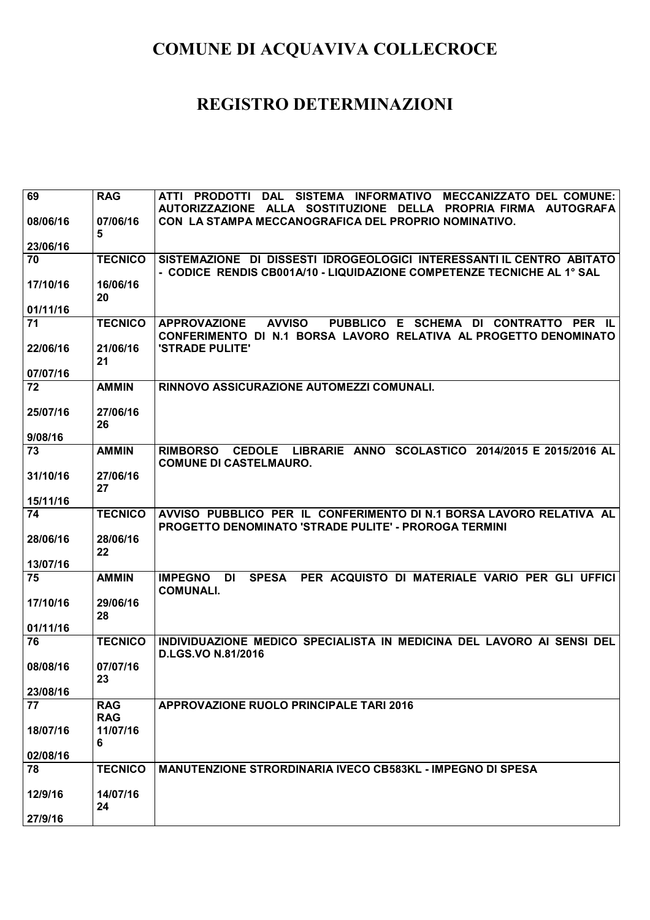| 69       | <b>RAG</b>             | ATTI PRODOTTI DAL SISTEMA INFORMATIVO MECCANIZZATO DEL COMUNE:                                             |
|----------|------------------------|------------------------------------------------------------------------------------------------------------|
|          |                        | AUTORIZZAZIONE ALLA SOSTITUZIONE DELLA PROPRIA-FIRMA AUTOGRAFA                                             |
| 08/06/16 | 07/06/16               | CON LA STAMPA MECCANOGRAFICA DEL PROPRIO NOMINATIVO.                                                       |
| 23/06/16 | 5                      |                                                                                                            |
| 70       | <b>TECNICO</b>         | SISTEMAZIONE DI DISSESTI IDROGEOLOGICI INTERESSANTI IL CENTRO ABITATO                                      |
|          |                        | - CODICE RENDIS CB001A/10 - LIQUIDAZIONE COMPETENZE TECNICHE AL 1° SAL                                     |
| 17/10/16 | 16/06/16               |                                                                                                            |
|          | 20                     |                                                                                                            |
| 01/11/16 |                        |                                                                                                            |
| 71       | <b>TECNICO</b>         | <b>AVVISO</b><br>PUBBLICO E SCHEMA DI CONTRATTO PER IL<br><b>APPROVAZIONE</b>                              |
|          |                        | CONFERIMENTO DI N.1 BORSA LAVORO RELATIVA AL PROGETTO DENOMINATO                                           |
| 22/06/16 | 21/06/16               | 'STRADE PULITE'                                                                                            |
|          | 21                     |                                                                                                            |
| 07/07/16 |                        |                                                                                                            |
| 72       | <b>AMMIN</b>           | RINNOVO ASSICURAZIONE AUTOMEZZI COMUNALI.                                                                  |
|          |                        |                                                                                                            |
| 25/07/16 | 27/06/16<br>26         |                                                                                                            |
| 9/08/16  |                        |                                                                                                            |
| 73       | <b>AMMIN</b>           | CEDOLE LIBRARIE ANNO SCOLASTICO 2014/2015 E 2015/2016 AL<br><b>RIMBORSO</b>                                |
|          |                        | <b>COMUNE DI CASTELMAURO.</b>                                                                              |
| 31/10/16 | 27/06/16               |                                                                                                            |
|          | 27                     |                                                                                                            |
| 15/11/16 |                        |                                                                                                            |
| 74       | <b>TECNICO</b>         | AVVISO PUBBLICO PER IL CONFERIMENTO DI N.1 BORSA LAVORO RELATIVA AL                                        |
|          |                        |                                                                                                            |
|          |                        | <b>PROGETTO DENOMINATO 'STRADE PULITE' - PROROGA TERMINI</b>                                               |
| 28/06/16 | 28/06/16               |                                                                                                            |
|          | 22                     |                                                                                                            |
| 13/07/16 |                        |                                                                                                            |
| 75       | <b>AMMIN</b>           | <b>IMPEGNO</b><br><b>SPESA</b><br>PER ACQUISTO DI MATERIALE VARIO PER GLI UFFICI<br>DI<br><b>COMUNALI.</b> |
| 17/10/16 | 29/06/16               |                                                                                                            |
|          | 28                     |                                                                                                            |
| 01/11/16 |                        |                                                                                                            |
| 76       | <b>TECNICO</b>         | INDIVIDUAZIONE MEDICO SPECIALISTA IN MEDICINA DEL LAVORO AI SENSI DEL                                      |
|          |                        | <b>D.LGS.VO N.81/2016</b>                                                                                  |
| 08/08/16 | 07/07/16               |                                                                                                            |
|          | 23                     |                                                                                                            |
| 23/08/16 |                        |                                                                                                            |
| 77       | <b>RAG</b>             | <b>APPROVAZIONE RUOLO PRINCIPALE TARI 2016</b>                                                             |
| 18/07/16 | <b>RAG</b><br>11/07/16 |                                                                                                            |
|          | 6                      |                                                                                                            |
| 02/08/16 |                        |                                                                                                            |
| 78       | <b>TECNICO</b>         | <b>MANUTENZIONE STRORDINARIA IVECO CB583KL - IMPEGNO DI SPESA</b>                                          |
|          |                        |                                                                                                            |
| 12/9/16  | 14/07/16               |                                                                                                            |
| 27/9/16  | 24                     |                                                                                                            |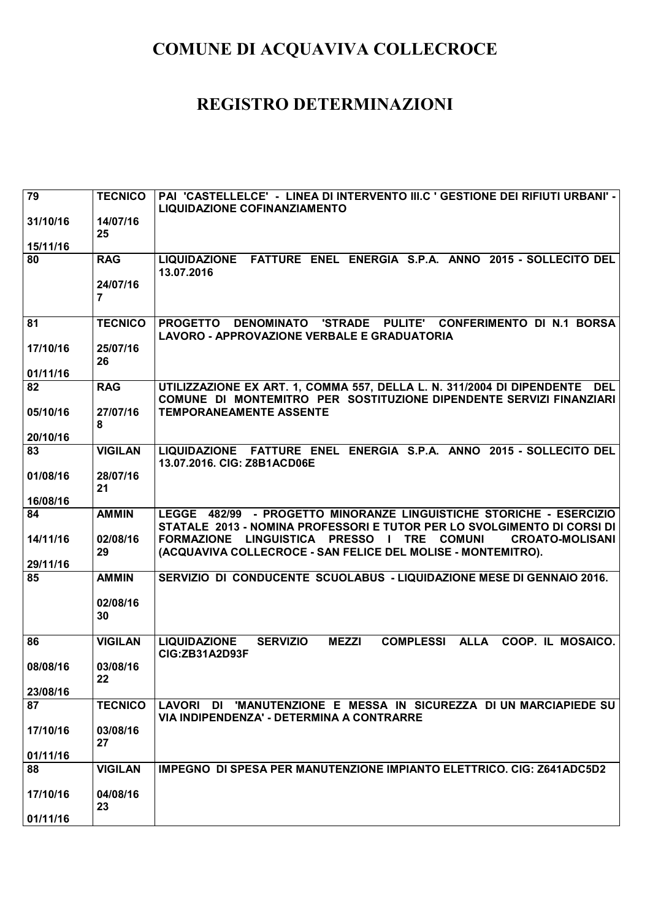| 79       | <b>TECNICO</b>             | PAI 'CASTELLELCE' - LINEA DI INTERVENTO III.C ' GESTIONE DEI RIFIUTI URBANI' -<br><b>LIQUIDAZIONE COFINANZIAMENTO</b>                                     |
|----------|----------------------------|-----------------------------------------------------------------------------------------------------------------------------------------------------------|
| 31/10/16 | 14/07/16                   |                                                                                                                                                           |
| 15/11/16 | 25                         |                                                                                                                                                           |
| 80       | <b>RAG</b>                 | LIQUIDAZIONE FATTURE ENEL ENERGIA S.P.A. ANNO 2015 - SOLLECITO DEL<br>13.07.2016                                                                          |
|          | 24/07/16<br>$\overline{7}$ |                                                                                                                                                           |
| 81       | <b>TECNICO</b>             | DENOMINATO 'STRADE PULITE'<br><b>PROGETTO</b><br><b>CONFERIMENTO DI N.1 BORSA</b><br>LAVORO - APPROVAZIONE VERBALE E GRADUATORIA                          |
| 17/10/16 | 25/07/16<br>26             |                                                                                                                                                           |
| 01/11/16 |                            |                                                                                                                                                           |
| 82       | <b>RAG</b>                 | UTILIZZAZIONE EX ART. 1, COMMA 557, DELLA L. N. 311/2004 DI DIPENDENTE DEL<br>COMUNE DI MONTEMITRO PER SOSTITUZIONE DIPENDENTE SERVIZI FINANZIARI         |
| 05/10/16 | 27/07/16<br>8              | <b>TEMPORANEAMENTE ASSENTE</b>                                                                                                                            |
| 20/10/16 |                            |                                                                                                                                                           |
| 83       | <b>VIGILAN</b>             | LIQUIDAZIONE FATTURE ENEL ENERGIA S.P.A. ANNO 2015 - SOLLECITO DEL<br>13.07.2016. CIG: Z8B1ACD06E                                                         |
| 01/08/16 | 28/07/16                   |                                                                                                                                                           |
| 16/08/16 | 21                         |                                                                                                                                                           |
| 84       | <b>AMMIN</b>               | LEGGE 482/99 - PROGETTO MINORANZE LINGUISTICHE STORICHE - ESERCIZIO                                                                                       |
| 14/11/16 | 02/08/16                   | STATALE 2013 - NOMINA PROFESSORI E TUTOR PER LO SVOLGIMENTO DI CORSI DI<br>LINGUISTICA PRESSO I TRE COMUNI<br><b>FORMAZIONE</b><br><b>CROATO-MOLISANI</b> |
| 29/11/16 | 29                         | (ACQUAVIVA COLLECROCE - SAN FELICE DEL MOLISE - MONTEMITRO).                                                                                              |
| 85       | <b>AMMIN</b>               | SERVIZIO DI CONDUCENTE SCUOLABUS - LIQUIDAZIONE MESE DI GENNAIO 2016.                                                                                     |
|          | 02/08/16                   |                                                                                                                                                           |
|          | 30                         |                                                                                                                                                           |
| 86       | <b>VIGILAN</b>             | <b>MEZZI</b><br><b>LIQUIDAZIONE</b><br><b>SERVIZIO</b><br><b>COMPLESSI</b><br><b>ALLA</b><br>COOP. IL MOSAICO.<br><b>CIG:ZB31A2D93F</b>                   |
| 08/08/16 | 03/08/16<br>22             |                                                                                                                                                           |
| 23/08/16 |                            |                                                                                                                                                           |
| 87       | <b>TECNICO</b>             | LAVORI DI 'MANUTENZIONE E MESSA IN SICUREZZA DI UN MARCIAPIEDE SU<br>VIA INDIPENDENZA' - DETERMINA A CONTRARRE                                            |
| 17/10/16 | 03/08/16<br>27             |                                                                                                                                                           |
| 01/11/16 |                            |                                                                                                                                                           |
| 88       | <b>VIGILAN</b>             | <b>IMPEGNO DI SPESA PER MANUTENZIONE IMPIANTO ELETTRICO. CIG: Z641ADC5D2</b>                                                                              |
| 17/10/16 | 04/08/16<br>23             |                                                                                                                                                           |
| 01/11/16 |                            |                                                                                                                                                           |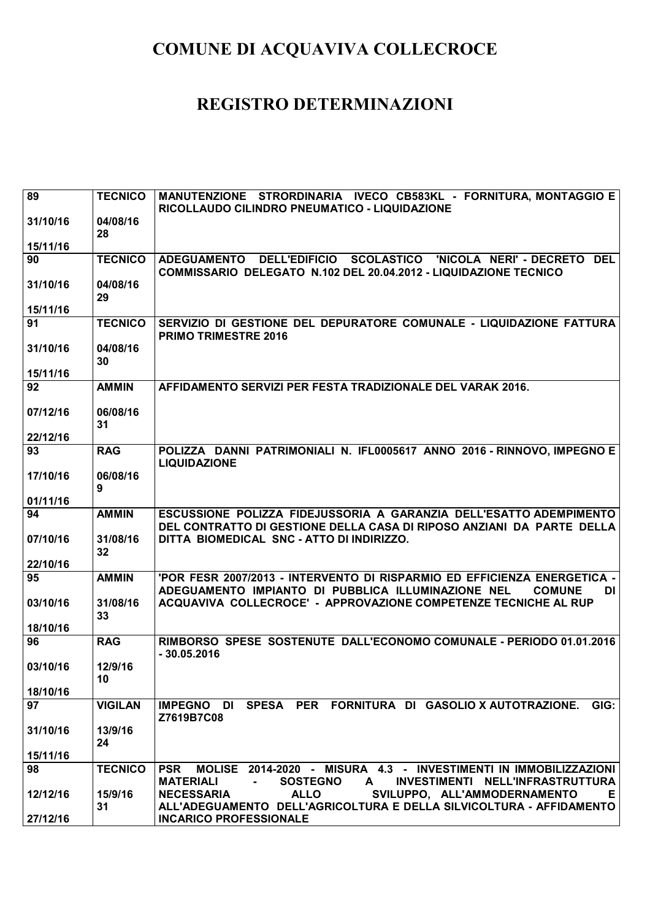| 89             | <b>TECNICO</b> | MANUTENZIONE STRORDINARIA IVECO CB583KL - FORNITURA, MONTAGGIO E                                                                                                                            |
|----------------|----------------|---------------------------------------------------------------------------------------------------------------------------------------------------------------------------------------------|
| 31/10/16       | 04/08/16       | RICOLLAUDO CILINDRO PNEUMATICO - LIQUIDAZIONE                                                                                                                                               |
|                | 28             |                                                                                                                                                                                             |
| 15/11/16       |                |                                                                                                                                                                                             |
| 90             | <b>TECNICO</b> | ADEGUAMENTO DELL'EDIFICIO SCOLASTICO 'NICOLA NERI' - DECRETO DEL<br>COMMISSARIO DELEGATO N.102 DEL 20.04.2012 - LIQUIDAZIONE TECNICO                                                        |
| 31/10/16       | 04/08/16       |                                                                                                                                                                                             |
|                | 29             |                                                                                                                                                                                             |
| 15/11/16       |                | SERVIZIO DI GESTIONE DEL DEPURATORE COMUNALE - LIQUIDAZIONE FATTURA                                                                                                                         |
| 91             | <b>TECNICO</b> | <b>PRIMO TRIMESTRE 2016</b>                                                                                                                                                                 |
| 31/10/16       | 04/08/16       |                                                                                                                                                                                             |
|                | 30             |                                                                                                                                                                                             |
| 15/11/16<br>92 | <b>AMMIN</b>   | AFFIDAMENTO SERVIZI PER FESTA TRADIZIONALE DEL VARAK 2016.                                                                                                                                  |
|                |                |                                                                                                                                                                                             |
| 07/12/16       | 06/08/16       |                                                                                                                                                                                             |
|                | 31             |                                                                                                                                                                                             |
| 22/12/16       |                |                                                                                                                                                                                             |
| 93             | <b>RAG</b>     | POLIZZA DANNI PATRIMONIALI N. IFL0005617 ANNO 2016 - RINNOVO, IMPEGNO E<br><b>LIQUIDAZIONE</b>                                                                                              |
| 17/10/16       | 06/08/16       |                                                                                                                                                                                             |
|                | 9              |                                                                                                                                                                                             |
| 01/11/16       |                |                                                                                                                                                                                             |
| 94             | <b>AMMIN</b>   | ESCUSSIONE POLIZZA FIDEJUSSORIA A GARANZIA DELL'ESATTO ADEMPIMENTO<br>DEL CONTRATTO DI GESTIONE DELLA CASA DI RIPOSO ANZIANI DA PARTE DELLA                                                 |
| 07/10/16       | 31/08/16       | DITTA BIOMEDICAL SNC - ATTO DI INDIRIZZO.                                                                                                                                                   |
|                | 32             |                                                                                                                                                                                             |
| 22/10/16       |                |                                                                                                                                                                                             |
| 95             | <b>AMMIN</b>   | 'POR FESR 2007/2013 - INTERVENTO DI RISPARMIO ED EFFICIENZA ENERGETICA -<br>ADEGUAMENTO IMPIANTO DI PUBBLICA ILLUMINAZIONE NEL<br><b>COMUNE</b><br><b>DI</b>                                |
| 03/10/16       | 31/08/16       | ACQUAVIVA COLLECROCE' - APPROVAZIONE COMPETENZE TECNICHE AL RUP                                                                                                                             |
|                | 33             |                                                                                                                                                                                             |
| 18/10/16       |                |                                                                                                                                                                                             |
| 96             | <b>RAG</b>     | RIMBORSO SPESE SOSTENUTE DALL'ECONOMO COMUNALE - PERIODO 01.01.2016<br>$-30.05.2016$                                                                                                        |
| 03/10/16       | 12/9/16        |                                                                                                                                                                                             |
|                | 10             |                                                                                                                                                                                             |
| 18/10/16       |                |                                                                                                                                                                                             |
| 97             | <b>VIGILAN</b> | IMPEGNO DI SPESA PER FORNITURA DI GASOLIO XAUTOTRAZIONE.<br>GIG:<br>Z7619B7C08                                                                                                              |
| 31/10/16       | 13/9/16        |                                                                                                                                                                                             |
|                | 24             |                                                                                                                                                                                             |
| 15/11/16       |                |                                                                                                                                                                                             |
| 98             | <b>TECNICO</b> | <b>PSR</b><br>MOLISE 2014-2020 - MISURA 4.3 - INVESTIMENTI IN IMMOBILIZZAZIONI<br><b>MATERIALI</b><br><b>SOSTEGNO</b><br>$\mathsf{A}$<br>INVESTIMENTI NELL'INFRASTRUTTURA<br>$\blacksquare$ |
| 12/12/16       | 15/9/16        | <b>ALLO</b><br><b>NECESSARIA</b><br>SVILUPPO, ALL'AMMODERNAMENTO<br>Е                                                                                                                       |
|                | 31             | ALL'ADEGUAMENTO DELL'AGRICOLTURA E DELLA SILVICOLTURA - AFFIDAMENTO                                                                                                                         |
| 27/12/16       |                | <b>INCARICO PROFESSIONALE</b>                                                                                                                                                               |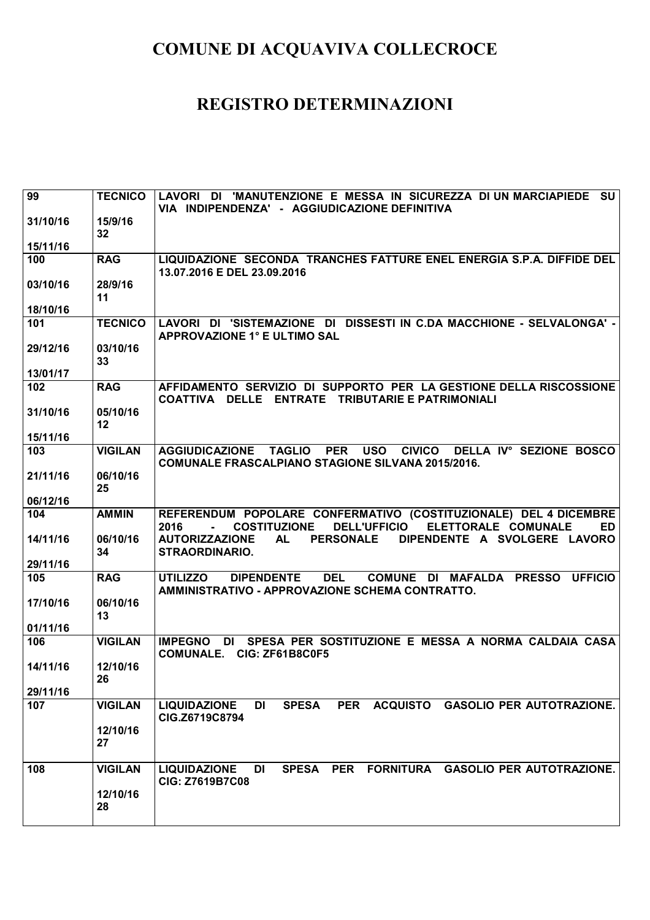| 99       | <b>TECNICO</b> | 'MANUTENZIONE E MESSA IN SICUREZZA DI UN MARCIAPIEDE<br>SU<br>LAVORI DI<br>VIA INDIPENDENZA' - AGGIUDICAZIONE DEFINITIVA                                                   |
|----------|----------------|----------------------------------------------------------------------------------------------------------------------------------------------------------------------------|
| 31/10/16 | 15/9/16<br>32  |                                                                                                                                                                            |
| 15/11/16 |                |                                                                                                                                                                            |
| 100      | <b>RAG</b>     | LIQUIDAZIONE SECONDA TRANCHES FATTURE ENEL ENERGIA S.P.A. DIFFIDE DEL<br>13.07.2016 E DEL 23.09.2016                                                                       |
| 03/10/16 | 28/9/16<br>11  |                                                                                                                                                                            |
| 18/10/16 |                |                                                                                                                                                                            |
| 101      | <b>TECNICO</b> | LAVORI DI 'SISTEMAZIONE DI DISSESTI IN C.DA MACCHIONE - SELVALONGA' -<br>APPROVAZIONE 1° E ULTIMO SAL                                                                      |
| 29/12/16 | 03/10/16<br>33 |                                                                                                                                                                            |
| 13/01/17 |                |                                                                                                                                                                            |
| 102      | <b>RAG</b>     | AFFIDAMENTO SERVIZIO DI SUPPORTO PER LA GESTIONE DELLA RISCOSSIONE<br>COATTIVA DELLE ENTRATE TRIBUTARIE E PATRIMONIALI                                                     |
| 31/10/16 | 05/10/16<br>12 |                                                                                                                                                                            |
| 15/11/16 |                |                                                                                                                                                                            |
| 103      | <b>VIGILAN</b> | <b>TAGLIO</b><br><b>PER</b><br><b>USO</b><br><b>CIVICO</b><br>DELLA IV° SEZIONE BOSCO<br><b>AGGIUDICAZIONE</b><br><b>COMUNALE FRASCALPIANO STAGIONE SILVANA 2015/2016.</b> |
| 21/11/16 | 06/10/16<br>25 |                                                                                                                                                                            |
| 06/12/16 |                |                                                                                                                                                                            |
| 104      | <b>AMMIN</b>   | REFERENDUM POPOLARE CONFERMATIVO (COSTITUZIONALE) DEL 4 DICEMBRE<br><b>DELL'UFFICIO</b><br><b>COSTITUZIONE</b><br>ELETTORALE COMUNALE<br>2016<br><b>ED</b>                 |
| 14/11/16 | 06/10/16<br>34 | <b>AL</b><br><b>AUTORIZZAZIONE</b><br><b>PERSONALE</b><br>DIPENDENTE A SVOLGERE LAVORO<br><b>STRAORDINARIO.</b>                                                            |
| 29/11/16 |                |                                                                                                                                                                            |
| 105      | <b>RAG</b>     | <b>DEL</b><br><b>DIPENDENTE</b><br>COMUNE DI MAFALDA PRESSO<br><b>UFFICIO</b><br><b>UTILIZZO</b><br>AMMINISTRATIVO - APPROVAZIONE SCHEMA CONTRATTO.                        |
| 17/10/16 | 06/10/16<br>13 |                                                                                                                                                                            |
| 01/11/16 |                |                                                                                                                                                                            |
| 106      | <b>VIGILAN</b> | IMPEGNO DI SPESA PER SOSTITUZIONE E MESSA A NORMA CALDAIA CASA<br>COMUNALE. CIG: ZF61B8C0F5                                                                                |
| 14/11/16 | 12/10/16<br>26 |                                                                                                                                                                            |
| 29/11/16 |                |                                                                                                                                                                            |
| 107      | <b>VIGILAN</b> | <b>SPESA</b><br>PER ACQUISTO<br><b>GASOLIO PER AUTOTRAZIONE.</b><br><b>LIQUIDAZIONE</b><br>DI<br>CIG.Z6719C8794                                                            |
|          | 12/10/16<br>27 |                                                                                                                                                                            |
| 108      | <b>VIGILAN</b> | <b>LIQUIDAZIONE</b><br>SPESA PER<br><b>FORNITURA</b><br><b>GASOLIO PER AUTOTRAZIONE.</b><br>DI<br><b>CIG: Z7619B7C08</b>                                                   |
|          | 12/10/16       |                                                                                                                                                                            |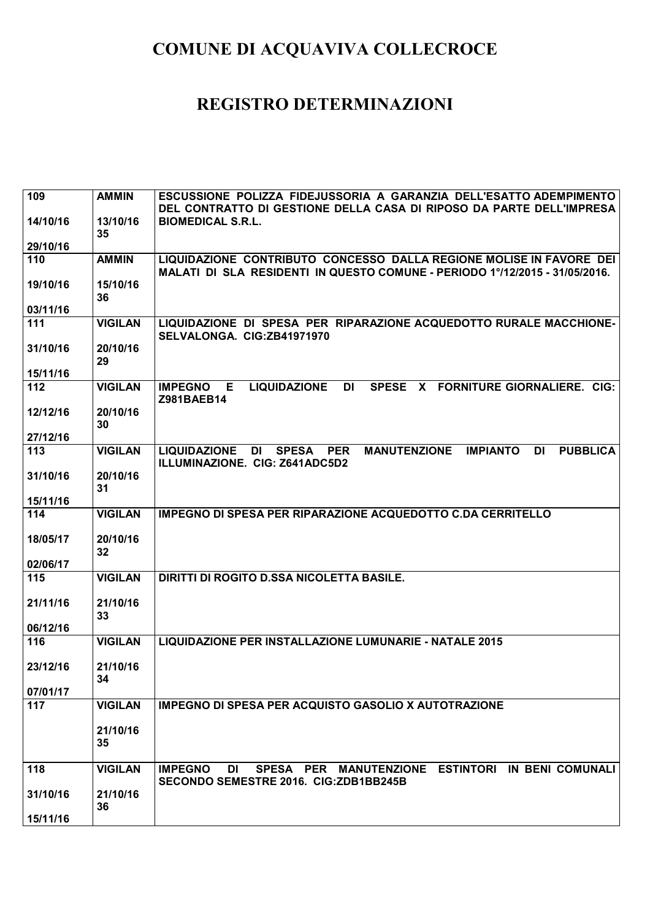| 109             | <b>AMMIN</b>   | ESCUSSIONE POLIZZA FIDEJUSSORIA A GARANZIA DELL'ESATTO ADEMPIMENTO                                                         |
|-----------------|----------------|----------------------------------------------------------------------------------------------------------------------------|
|                 |                | DEL CONTRATTO DI GESTIONE DELLA CASA DI RIPOSO DA PARTE DELL'IMPRESA                                                       |
| 14/10/16        | 13/10/16<br>35 | <b>BIOMEDICAL S.R.L.</b>                                                                                                   |
| 29/10/16        |                |                                                                                                                            |
| 110             | <b>AMMIN</b>   | LIQUIDAZIONE CONTRIBUTO CONCESSO DALLA REGIONE MOLISE IN FAVORE DEI                                                        |
|                 |                | MALATI DI SLA RESIDENTI IN QUESTO COMUNE - PERIODO 1°/12/2015 - 31/05/2016.                                                |
| 19/10/16        | 15/10/16       |                                                                                                                            |
| 03/11/16        | 36             |                                                                                                                            |
| 111             | <b>VIGILAN</b> | LIQUIDAZIONE DI SPESA PER RIPARAZIONE ACQUEDOTTO RURALE MACCHIONE-                                                         |
|                 |                | SELVALONGA. CIG:ZB41971970                                                                                                 |
| 31/10/16        | 20/10/16       |                                                                                                                            |
| 15/11/16        | 29             |                                                                                                                            |
| 112             | <b>VIGILAN</b> | <b>LIQUIDAZIONE</b><br><b>IMPEGNO</b><br>E<br>SPESE X FORNITURE GIORNALIERE. CIG:<br>DI                                    |
|                 |                | Z981BAEB14                                                                                                                 |
| 12/12/16        | 20/10/16       |                                                                                                                            |
|                 | 30             |                                                                                                                            |
| 27/12/16<br>113 | <b>VIGILAN</b> | <b>MANUTENZIONE</b><br><b>LIQUIDAZIONE</b><br><b>SPESA</b><br><b>IMPIANTO</b><br>DI<br><b>PUBBLICA</b><br>DI<br><b>PER</b> |
|                 |                | ILLUMINAZIONE. CIG: Z641ADC5D2                                                                                             |
| 31/10/16        | 20/10/16       |                                                                                                                            |
|                 | 31             |                                                                                                                            |
| 15/11/16        |                |                                                                                                                            |
| 114             | <b>VIGILAN</b> | <b>IMPEGNO DI SPESA PER RIPARAZIONE ACQUEDOTTO C.DA CERRITELLO</b>                                                         |
| 18/05/17        | 20/10/16       |                                                                                                                            |
|                 | 32             |                                                                                                                            |
| 02/06/17        |                |                                                                                                                            |
| 115             | <b>VIGILAN</b> | DIRITTI DI ROGITO D.SSA NICOLETTA BASILE.                                                                                  |
| 21/11/16        | 21/10/16       |                                                                                                                            |
|                 | 33             |                                                                                                                            |
| 06/12/16        |                |                                                                                                                            |
| 116             | <b>VIGILAN</b> | LIQUIDAZIONE PER INSTALLAZIONE LUMUNARIE - NATALE 2015                                                                     |
| 23/12/16        | 21/10/16       |                                                                                                                            |
|                 | 34             |                                                                                                                            |
| 07/01/17        |                |                                                                                                                            |
| 117             | <b>VIGILAN</b> | <b>IMPEGNO DI SPESA PER ACQUISTO GASOLIO X AUTOTRAZIONE</b>                                                                |
|                 | 21/10/16       |                                                                                                                            |
|                 | 35             |                                                                                                                            |
|                 |                |                                                                                                                            |
| 118             | <b>VIGILAN</b> | SPESA PER MANUTENZIONE ESTINTORI IN BENI COMUNALI<br><b>IMPEGNO</b><br>DI                                                  |
|                 | 21/10/16       | SECONDO SEMESTRE 2016. CIG:ZDB1BB245B                                                                                      |
| 31/10/16        | 36             |                                                                                                                            |
| 15/11/16        |                |                                                                                                                            |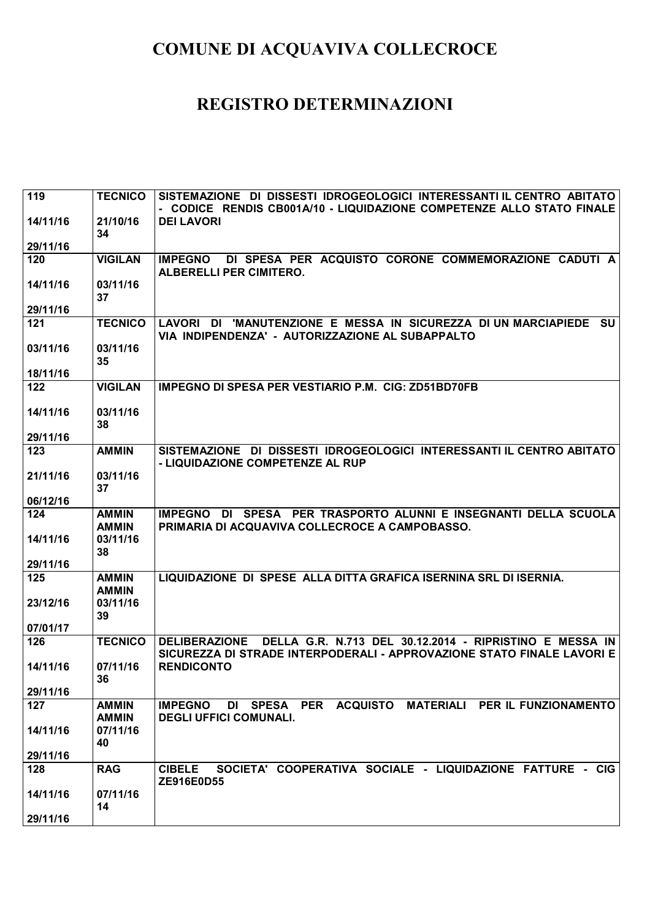| 119             | <b>TECNICO</b> | SISTEMAZIONE DI DISSESTI IDROGEOLOGICI INTERESSANTI IL CENTRO ABITATO           |
|-----------------|----------------|---------------------------------------------------------------------------------|
|                 |                | - CODICE RENDIS CB001A/10 - LIQUIDAZIONE COMPETENZE ALLO STATO FINALE           |
| 14/11/16        | 21/10/16       | <b>DEI LAVORI</b>                                                               |
| 29/11/16        | 34             |                                                                                 |
| 120             | <b>VIGILAN</b> | DI SPESA PER ACQUISTO CORONE COMMEMORAZIONE CADUTI A<br><b>IMPEGNO</b>          |
|                 |                | <b>ALBERELLI PER CIMITERO.</b>                                                  |
| 14/11/16        | 03/11/16       |                                                                                 |
|                 | 37             |                                                                                 |
| 29/11/16        |                |                                                                                 |
| 121             | <b>TECNICO</b> | LAVORI DI 'MANUTENZIONE E MESSA IN SICUREZZA DI UN MARCIAPIEDE<br>SU            |
|                 |                | VIA INDIPENDENZA' - AUTORIZZAZIONE AL SUBAPPALTO                                |
| 03/11/16        | 03/11/16       |                                                                                 |
| 18/11/16        | 35             |                                                                                 |
| 122             | <b>VIGILAN</b> | <b>IMPEGNO DI SPESA PER VESTIARIO P.M. CIG: ZD51BD70FB</b>                      |
|                 |                |                                                                                 |
| 14/11/16        | 03/11/16       |                                                                                 |
|                 | 38             |                                                                                 |
| 29/11/16        |                |                                                                                 |
| 123             | <b>AMMIN</b>   | SISTEMAZIONE DI DISSESTI IDROGEOLOGICI INTERESSANTI IL CENTRO ABITATO           |
|                 |                | - LIQUIDAZIONE COMPETENZE AL RUP                                                |
| 21/11/16        | 03/11/16       |                                                                                 |
| 06/12/16        | 37             |                                                                                 |
| 124             | <b>AMMIN</b>   | DI SPESA PER TRASPORTO ALUNNI E INSEGNANTI DELLA SCUOLA<br><b>IMPEGNO</b>       |
|                 | <b>AMMIN</b>   | PRIMARIA DI ACQUAVIVA COLLECROCE A CAMPOBASSO.                                  |
| 14/11/16        | 03/11/16       |                                                                                 |
|                 | 38             |                                                                                 |
| 29/11/16        |                |                                                                                 |
| 125             | <b>AMMIN</b>   | LIQUIDAZIONE DI SPESE ALLA DITTA GRAFICA ISERNINA SRL DI ISERNIA.               |
|                 | <b>AMMIN</b>   |                                                                                 |
| 23/12/16        | 03/11/16<br>39 |                                                                                 |
| 07/01/17        |                |                                                                                 |
| 126             | <b>TECNICO</b> | DELLA G.R. N.713 DEL 30.12.2014 - RIPRISTINO E MESSA IN<br><b>DELIBERAZIONE</b> |
|                 |                | SICUREZZA DI STRADE INTERPODERALI - APPROVAZIONE STATO FINALE LAVORI E          |
| 14/11/16        | 07/11/16       | <b>RENDICONTO</b>                                                               |
|                 |                |                                                                                 |
|                 | 36             |                                                                                 |
| 29/11/16        |                |                                                                                 |
| 127             | <b>AMMIN</b>   | DI SPESA PER ACQUISTO MATERIALI PER IL FUNZIONAMENTO<br><b>IMPEGNO</b>          |
|                 | <b>AMMIN</b>   | <b>DEGLI UFFICI COMUNALI.</b>                                                   |
| 14/11/16        | 07/11/16       |                                                                                 |
|                 | 40             |                                                                                 |
| 29/11/16<br>128 | <b>RAG</b>     | SOCIETA' COOPERATIVA SOCIALE - LIQUIDAZIONE FATTURE - CIG<br><b>CIBELE</b>      |
|                 |                | ZE916E0D55                                                                      |
| 14/11/16        | 07/11/16       |                                                                                 |
| 29/11/16        | 14             |                                                                                 |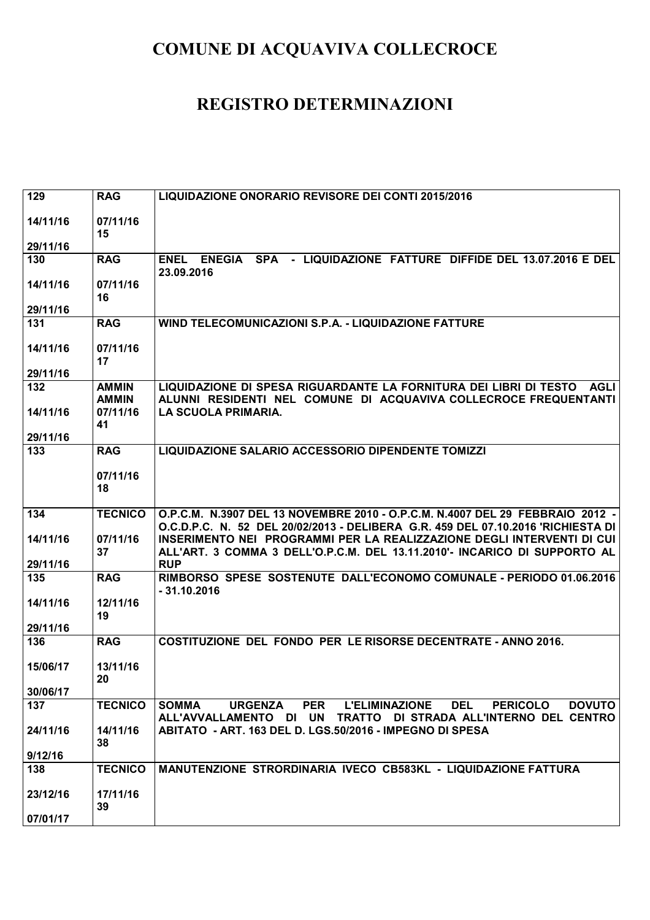| 129               | <b>RAG</b>                   | LIQUIDAZIONE ONORARIO REVISORE DEI CONTI 2015/2016                                                                                            |
|-------------------|------------------------------|-----------------------------------------------------------------------------------------------------------------------------------------------|
| 14/11/16          | 07/11/16                     |                                                                                                                                               |
|                   | 15                           |                                                                                                                                               |
| 29/11/16<br>130   | <b>RAG</b>                   | SPA - LIQUIDAZIONE FATTURE DIFFIDE DEL 13.07.2016 E DEL<br><b>ENEGIA</b><br><b>ENEL</b>                                                       |
|                   |                              | 23.09.2016                                                                                                                                    |
| 14/11/16          | 07/11/16                     |                                                                                                                                               |
|                   | 16                           |                                                                                                                                               |
| 29/11/16          |                              |                                                                                                                                               |
| 131               | <b>RAG</b>                   | WIND TELECOMUNICAZIONI S.P.A. - LIQUIDAZIONE FATTURE                                                                                          |
| 14/11/16          | 07/11/16<br>17               |                                                                                                                                               |
| 29/11/16          |                              |                                                                                                                                               |
| 132               | <b>AMMIN</b><br><b>AMMIN</b> | LIQUIDAZIONE DI SPESA RIGUARDANTE LA FORNITURA DEI LIBRI DI TESTO<br>AGLI<br>ALUNNI RESIDENTI NEL COMUNE DI ACQUAVIVA COLLECROCE FREQUENTANTI |
| 14/11/16          | 07/11/16<br>41               | LA SCUOLA PRIMARIA.                                                                                                                           |
| 29/11/16          |                              |                                                                                                                                               |
| 133               | <b>RAG</b>                   | <b>LIQUIDAZIONE SALARIO ACCESSORIO DIPENDENTE TOMIZZI</b>                                                                                     |
|                   |                              |                                                                                                                                               |
|                   | 07/11/16<br>18               |                                                                                                                                               |
|                   |                              |                                                                                                                                               |
| 134               | <b>TECNICO</b>               | O.P.C.M. N.3907 DEL 13 NOVEMBRE 2010 - O.P.C.M. N.4007 DEL 29 FEBBRAIO 2012 -                                                                 |
|                   |                              | O.C.D.P.C. N. 52 DEL 20/02/2013 - DELIBERA G.R. 459 DEL 07.10.2016 'RICHIESTA DI                                                              |
|                   |                              |                                                                                                                                               |
| 14/11/16          | 07/11/16                     | INSERIMENTO NEI PROGRAMMI PER LA REALIZZAZIONE DEGLI INTERVENTI DI CUI                                                                        |
|                   | 37                           | ALL'ART. 3 COMMA 3 DELL'O.P.C.M. DEL 13.11.2010'- INCARICO DI SUPPORTO AL                                                                     |
| 29/11/16<br>$135$ | <b>RAG</b>                   | <b>RUP</b><br>RIMBORSO SPESE SOSTENUTE DALL'ECONOMO COMUNALE - PERIODO 01.06.2016                                                             |
|                   |                              | $-31.10.2016$                                                                                                                                 |
| 14/11/16          | 12/11/16                     |                                                                                                                                               |
|                   | 19                           |                                                                                                                                               |
| 29/11/16<br>136   | <b>RAG</b>                   | <b>COSTITUZIONE DEL FONDO PER LE RISORSE DECENTRATE - ANNO 2016.</b>                                                                          |
|                   |                              |                                                                                                                                               |
| 15/06/17          | 13/11/16                     |                                                                                                                                               |
|                   | 20                           |                                                                                                                                               |
| 30/06/17          |                              | <b>SOMMA</b><br><b>URGENZA</b><br><b>DEL</b><br><b>DOVUTO</b>                                                                                 |
| 137               | <b>TECNICO</b>               | <b>PER</b><br><b>L'ELIMINAZIONE</b><br><b>PERICOLO</b><br>ALL'AVVALLAMENTO DI UN TRATTO DI STRADA ALL'INTERNO DEL CENTRO                      |
| 24/11/16          | 14/11/16                     | ABITATO - ART. 163 DEL D. LGS.50/2016 - IMPEGNO DI SPESA                                                                                      |
|                   | 38                           |                                                                                                                                               |
| 9/12/16           |                              |                                                                                                                                               |
| 138               | <b>TECNICO</b>               | MANUTENZIONE STRORDINARIA IVECO CB583KL - LIQUIDAZIONE FATTURA                                                                                |
| 23/12/16          | 17/11/16                     |                                                                                                                                               |
| 07/01/17          | 39                           |                                                                                                                                               |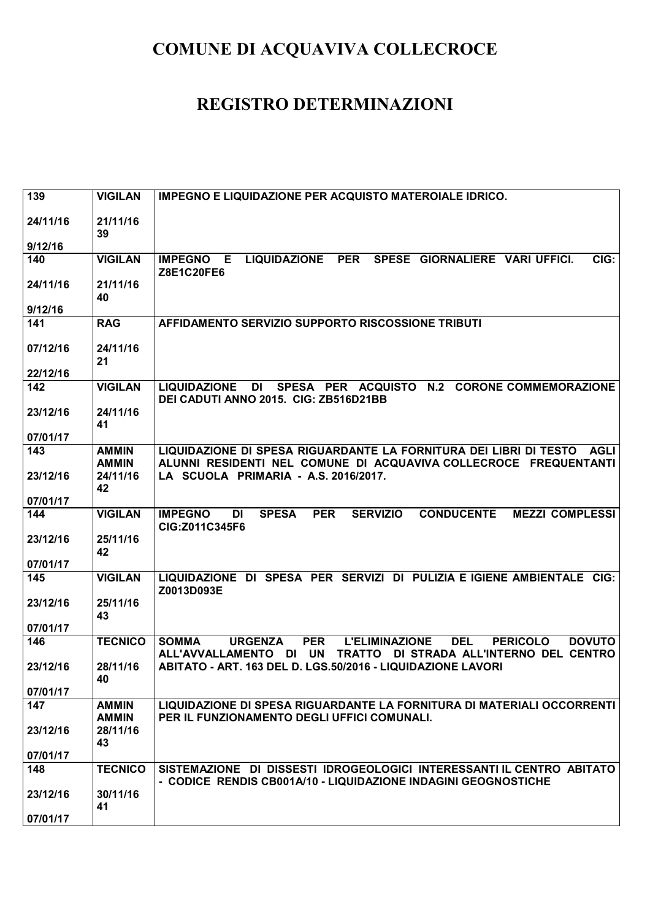| 139             | <b>VIGILAN</b>           | <b>IMPEGNO E LIQUIDAZIONE PER ACQUISTO MATEROIALE IDRICO.</b>                                                               |
|-----------------|--------------------------|-----------------------------------------------------------------------------------------------------------------------------|
|                 |                          |                                                                                                                             |
| 24/11/16        | 21/11/16<br>39           |                                                                                                                             |
| 9/12/16         |                          |                                                                                                                             |
| 140             | <b>VIGILAN</b>           | SPESE GIORNALIERE VARI UFFICI.<br>CIG:<br>Е<br><b>LIQUIDAZIONE</b><br><b>PER</b><br><b>IMPEGNO</b>                          |
|                 |                          | Z8E1C20FE6                                                                                                                  |
| 24/11/16        | 21/11/16                 |                                                                                                                             |
|                 | 40                       |                                                                                                                             |
| 9/12/16         |                          |                                                                                                                             |
| 141             | <b>RAG</b>               | AFFIDAMENTO SERVIZIO SUPPORTO RISCOSSIONE TRIBUTI                                                                           |
|                 | 24/11/16                 |                                                                                                                             |
| 07/12/16        | 21                       |                                                                                                                             |
| 22/12/16        |                          |                                                                                                                             |
| 142             | <b>VIGILAN</b>           | N.2 CORONE COMMEMORAZIONE<br><b>LIQUIDAZIONE</b><br>DI SPESA PER ACQUISTO                                                   |
|                 |                          | DEI CADUTI ANNO 2015. CIG: ZB516D21BB                                                                                       |
| 23/12/16        | 24/11/16                 |                                                                                                                             |
|                 | 41                       |                                                                                                                             |
| 07/01/17        |                          |                                                                                                                             |
| 143             | <b>AMMIN</b>             | LIQUIDAZIONE DI SPESA RIGUARDANTE LA FORNITURA DEI LIBRI DI TESTO AGLI                                                      |
| 23/12/16        | <b>AMMIN</b><br>24/11/16 | ALUNNI RESIDENTI NEL COMUNE DI ACQUAVIVA COLLECROCE FREQUENTANTI<br>LA SCUOLA PRIMARIA - A.S. 2016/2017.                    |
|                 | 42                       |                                                                                                                             |
| 07/01/17        |                          |                                                                                                                             |
| 144             | <b>VIGILAN</b>           | <b>IMPEGNO</b><br><b>SPESA</b><br><b>PER</b><br><b>SERVIZIO</b><br><b>CONDUCENTE</b><br><b>MEZZI COMPLESSI</b><br><b>DI</b> |
|                 |                          | CIG:Z011C345F6                                                                                                              |
| 23/12/16        | 25/11/16                 |                                                                                                                             |
|                 | 42                       |                                                                                                                             |
| 07/01/17        |                          |                                                                                                                             |
| 145             | <b>VIGILAN</b>           | LIQUIDAZIONE DI SPESA PER SERVIZI DI PULIZIA E IGIENE AMBIENTALE CIG:<br>Z0013D093E                                         |
| 23/12/16        | 25/11/16                 |                                                                                                                             |
|                 | 43                       |                                                                                                                             |
| 07/01/17        |                          |                                                                                                                             |
| 146             | <b>TECNICO</b>           | <b>L'ELIMINAZIONE</b><br><b>SOMMA</b><br><b>URGENZA</b><br><b>PER</b><br><b>DEL</b><br><b>PERICOLO</b><br><b>DOVUTO</b>     |
|                 |                          | <b>ALL'AVVALLAMENTO</b><br><b>UN</b><br><b>TRATTO</b><br>DI STRADA ALL'INTERNO DEL CENTRO<br>DI                             |
| 23/12/16        | 28/11/16                 | ABITATO - ART. 163 DEL D. LGS.50/2016 - LIQUIDAZIONE LAVORI                                                                 |
|                 | 40                       |                                                                                                                             |
| 07/01/17<br>147 | <b>AMMIN</b>             | LIQUIDAZIONE DI SPESA RIGUARDANTE LA FORNITURA DI MATERIALI OCCORRENTI                                                      |
|                 | <b>AMMIN</b>             | PER IL FUNZIONAMENTO DEGLI UFFICI COMUNALI.                                                                                 |
| 23/12/16        | 28/11/16                 |                                                                                                                             |
|                 | 43                       |                                                                                                                             |
| 07/01/17        |                          |                                                                                                                             |
| 148             | <b>TECNICO</b>           | SISTEMAZIONE DI DISSESTI IDROGEOLOGICI INTERESSANTI IL CENTRO ABITATO                                                       |
|                 |                          | - CODICE RENDIS CB001A/10 - LIQUIDAZIONE INDAGINI GEOGNOSTICHE                                                              |
| 23/12/16        | 30/11/16                 |                                                                                                                             |
| 07/01/17        | 41                       |                                                                                                                             |
|                 |                          |                                                                                                                             |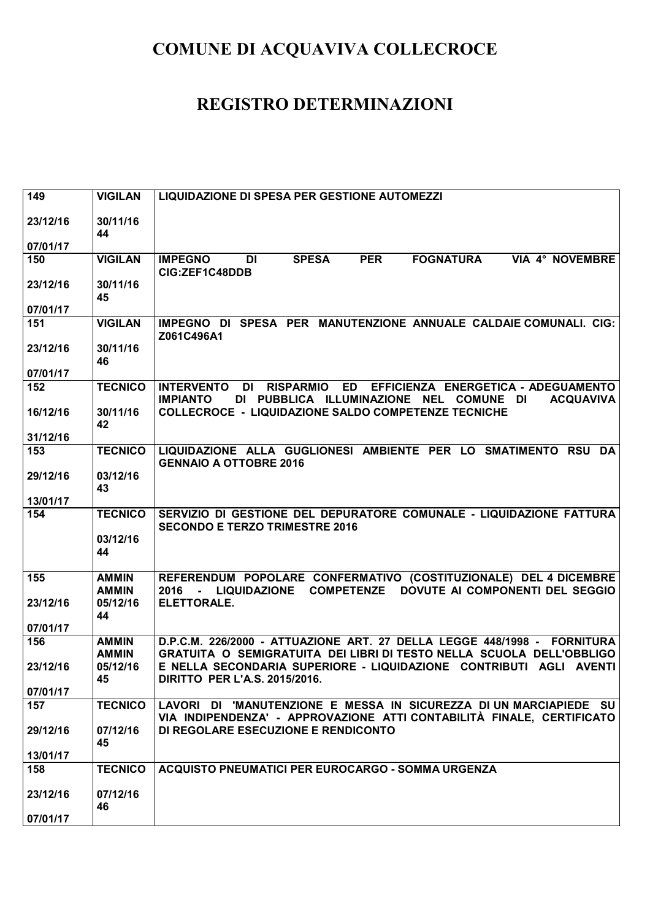| 149      | <b>VIGILAN</b>               | LIQUIDAZIONE DI SPESA PER GESTIONE AUTOMEZZI                                                                                                                            |
|----------|------------------------------|-------------------------------------------------------------------------------------------------------------------------------------------------------------------------|
|          |                              |                                                                                                                                                                         |
| 23/12/16 | 30/11/16<br>44               |                                                                                                                                                                         |
| 07/01/17 |                              |                                                                                                                                                                         |
| 150      | <b>VIGILAN</b>               | <b>SPESA</b><br><b>PER</b><br><b>FOGNATURA</b><br>VIA 4° NOVEMBRE<br><b>IMPEGNO</b><br>DI                                                                               |
|          |                              | CIG:ZEF1C48DDB                                                                                                                                                          |
| 23/12/16 | 30/11/16<br>45               |                                                                                                                                                                         |
| 07/01/17 |                              |                                                                                                                                                                         |
| 151      | <b>VIGILAN</b>               | IMPEGNO DI SPESA PER MANUTENZIONE ANNUALE CALDAIE COMUNALI. CIG:<br>Z061C496A1                                                                                          |
| 23/12/16 | 30/11/16                     |                                                                                                                                                                         |
|          | 46                           |                                                                                                                                                                         |
| 07/01/17 |                              |                                                                                                                                                                         |
| 152      | <b>TECNICO</b>               | DI<br><b>RISPARMIO</b><br>ED EFFICIENZA ENERGETICA - ADEGUAMENTO<br><b>INTERVENTO</b><br>DI PUBBLICA ILLUMINAZIONE NEL COMUNE DI<br><b>IMPIANTO</b><br><b>ACQUAVIVA</b> |
| 16/12/16 | 30/11/16<br>42               | <b>COLLECROCE - LIQUIDAZIONE SALDO COMPETENZE TECNICHE</b>                                                                                                              |
| 31/12/16 |                              |                                                                                                                                                                         |
| 153      | <b>TECNICO</b>               | LIQUIDAZIONE ALLA GUGLIONESI AMBIENTE PER LO SMATIMENTO RSU DA<br><b>GENNAIO A OTTOBRE 2016</b>                                                                         |
| 29/12/16 | 03/12/16                     |                                                                                                                                                                         |
|          | 43                           |                                                                                                                                                                         |
| 13/01/17 |                              |                                                                                                                                                                         |
| 154      | <b>TECNICO</b>               | SERVIZIO DI GESTIONE DEL DEPURATORE COMUNALE - LIQUIDAZIONE FATTURA<br><b>SECONDO E TERZO TRIMESTRE 2016</b>                                                            |
|          | 03/12/16                     |                                                                                                                                                                         |
|          | 44                           |                                                                                                                                                                         |
|          |                              |                                                                                                                                                                         |
| 155      | <b>AMMIN</b><br><b>AMMIN</b> | REFERENDUM POPOLARE CONFERMATIVO (COSTITUZIONALE) DEL 4 DICEMBRE<br>2016 - LIQUIDAZIONE<br><b>COMPETENZE</b><br>DOVUTE AI COMPONENTI DEL SEGGIO                         |
| 23/12/16 | 05/12/16                     | <b>ELETTORALE.</b>                                                                                                                                                      |
|          | 44                           |                                                                                                                                                                         |
| 07/01/17 |                              |                                                                                                                                                                         |
| 156      | <b>AMMIN</b>                 | D.P.C.M. 226/2000 - ATTUAZIONE ART. 27 DELLA LEGGE 448/1998 - FORNITURA                                                                                                 |
| 23/12/16 | <b>AMMIN</b><br>05/12/16     | GRATUITA O SEMIGRATUITA DEI LIBRI DI TESTO NELLA SCUOLA DELL'OBBLIGO<br>E NELLA SECONDARIA SUPERIORE - LIQUIDAZIONE CONTRIBUTI AGLI AVENTI                              |
|          | 45                           | DIRITTO PER L'A.S. 2015/2016.                                                                                                                                           |
| 07/01/17 |                              |                                                                                                                                                                         |
| 157      | <b>TECNICO</b>               | LAVORI DI 'MANUTENZIONE E MESSA IN SICUREZZA DI UN MARCIAPIEDE SU<br>VIA INDIPENDENZA' - APPROVAZIONE ATTI CONTABILITÀ FINALE, CERTIFICATO                              |
| 29/12/16 | 07/12/16                     | DI REGOLARE ESECUZIONE E RENDICONTO                                                                                                                                     |
|          | 45                           |                                                                                                                                                                         |
| 13/01/17 |                              |                                                                                                                                                                         |
| 158      | <b>TECNICO</b>               | ACQUISTO PNEUMATICI PER EUROCARGO - SOMMA URGENZA                                                                                                                       |
| 23/12/16 | 07/12/16                     |                                                                                                                                                                         |
|          | 46                           |                                                                                                                                                                         |
| 07/01/17 |                              |                                                                                                                                                                         |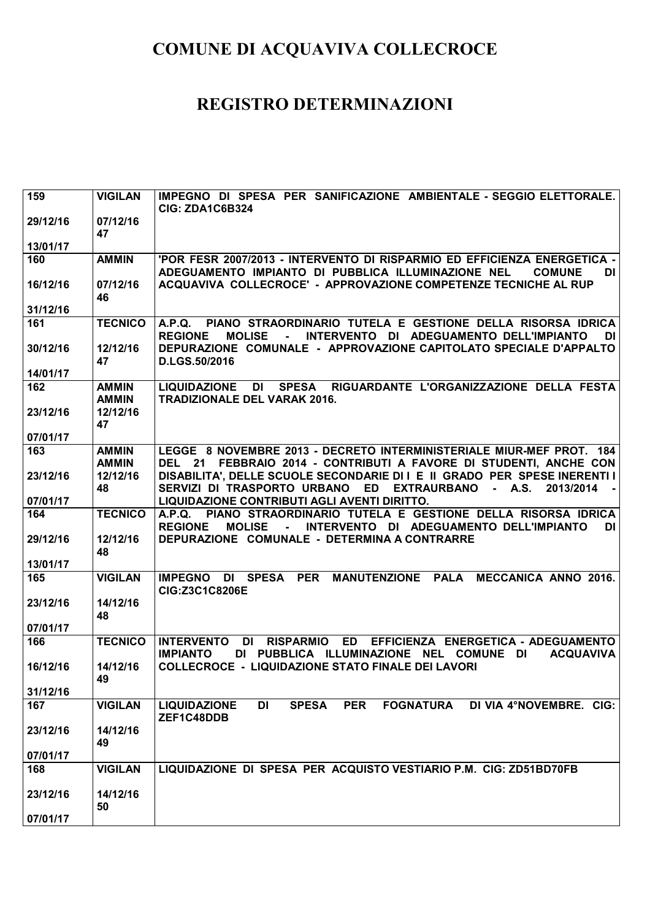| 159      | <b>VIGILAN</b>                           | IMPEGNO DI SPESA PER SANIFICAZIONE AMBIENTALE - SEGGIO ELETTORALE.<br>CIG: ZDA1C6B324                                                                                                              |
|----------|------------------------------------------|----------------------------------------------------------------------------------------------------------------------------------------------------------------------------------------------------|
| 29/12/16 | 07/12/16<br>47                           |                                                                                                                                                                                                    |
| 13/01/17 |                                          |                                                                                                                                                                                                    |
| 160      | <b>AMMIN</b>                             | 'POR FESR 2007/2013 - INTERVENTO DI RISPARMIO ED EFFICIENZA ENERGETICA -<br>ADEGUAMENTO IMPIANTO DI PUBBLICA ILLUMINAZIONE NEL<br><b>COMUNE</b><br><b>DI</b>                                       |
| 16/12/16 | 07/12/16<br>46                           | ACQUAVIVA COLLECROCE' - APPROVAZIONE COMPETENZE TECNICHE AL RUP                                                                                                                                    |
| 31/12/16 |                                          |                                                                                                                                                                                                    |
| 161      | <b>TECNICO</b>                           | PIANO STRAORDINARIO TUTELA E GESTIONE DELLA RISORSA IDRICA<br>A.P.Q.<br><b>REGIONE</b><br><b>MOLISE</b><br>INTERVENTO DI ADEGUAMENTO DELL'IMPIANTO<br>DI<br>$\blacksquare$                         |
| 30/12/16 | 12/12/16<br>47                           | DEPURAZIONE COMUNALE - APPROVAZIONE CAPITOLATO SPECIALE D'APPALTO<br>D.LGS.50/2016                                                                                                                 |
| 14/01/17 |                                          |                                                                                                                                                                                                    |
| 162      | <b>AMMIN</b><br><b>AMMIN</b><br>12/12/16 | <b>LIQUIDAZIONE</b><br><b>DI</b><br><b>SPESA</b><br>RIGUARDANTE L'ORGANIZZAZIONE DELLA FESTA<br><b>TRADIZIONALE DEL VARAK 2016.</b>                                                                |
| 23/12/16 | 47                                       |                                                                                                                                                                                                    |
| 07/01/17 |                                          |                                                                                                                                                                                                    |
| 163      | <b>AMMIN</b><br><b>AMMIN</b>             | LEGGE 8 NOVEMBRE 2013 - DECRETO INTERMINISTERIALE MIUR-MEF PROT. 184<br>DEL 21 FEBBRAIO 2014 - CONTRIBUTI A FAVORE DI STUDENTI, ANCHE CON                                                          |
| 23/12/16 | 12/12/16<br>48                           | DISABILITA', DELLE SCUOLE SECONDARIE DI I E II GRADO PER SPESE INERENTI I<br>SERVIZI DI TRASPORTO URBANO<br>ED<br><b>EXTRAURBANO</b><br><b>A.S.</b><br>2013/2014                                   |
| 07/01/17 |                                          | LIQUIDAZIONE CONTRIBUTI AGLI AVENTI DIRITTO.                                                                                                                                                       |
| 164      | <b>TECNICO</b>                           | PIANO STRAORDINARIO TUTELA E GESTIONE DELLA RISORSA IDRICA<br>A.P.Q.<br><b>REGIONE</b><br><b>MOLISE</b><br>INTERVENTO DI ADEGUAMENTO DELL'IMPIANTO<br>DI                                           |
| 29/12/16 | 12/12/16<br>48                           | DEPURAZIONE COMUNALE - DETERMINA A CONTRARRE                                                                                                                                                       |
| 13/01/17 |                                          |                                                                                                                                                                                                    |
| 165      | <b>VIGILAN</b>                           | MANUTENZIONE PALA<br>DI SPESA<br><b>PER</b><br><b>MECCANICA ANNO 2016.</b><br><b>IMPEGNO</b><br>CIG:Z3C1C8206E                                                                                     |
| 23/12/16 | 14/12/16<br>48                           |                                                                                                                                                                                                    |
| 07/01/17 |                                          |                                                                                                                                                                                                    |
| 166      | <b>TECNICO</b>                           | <b>ED</b><br><b>INTERVENTO</b><br><b>DI</b><br><b>RISPARMIO</b><br>EFFICIENZA ENERGETICA - ADEGUAMENTO<br>DI PUBBLICA ILLUMINAZIONE NEL COMUNE<br><b>IMPIANTO</b><br><b>DI</b><br><b>ACQUAVIVA</b> |
| 16/12/16 | 14/12/16<br>49                           | <b>COLLECROCE - LIQUIDAZIONE STATO FINALE DEI LAVORI</b>                                                                                                                                           |
| 31/12/16 |                                          |                                                                                                                                                                                                    |
| 167      | <b>VIGILAN</b>                           | <b>SPESA</b><br><b>PER</b><br><b>FOGNATURA</b><br>DI VIA 4°NOVEMBRE. CIG:<br><b>LIQUIDAZIONE</b><br>DI<br>ZEF1C48DDB                                                                               |
| 23/12/16 | 14/12/16<br>49                           |                                                                                                                                                                                                    |
| 07/01/17 |                                          |                                                                                                                                                                                                    |
| 168      | <b>VIGILAN</b>                           | LIQUIDAZIONE DI SPESA PER ACQUISTO VESTIARIO P.M. CIG: ZD51BD70FB                                                                                                                                  |
| 23/12/16 | 14/12/16<br>50                           |                                                                                                                                                                                                    |
| 07/01/17 |                                          |                                                                                                                                                                                                    |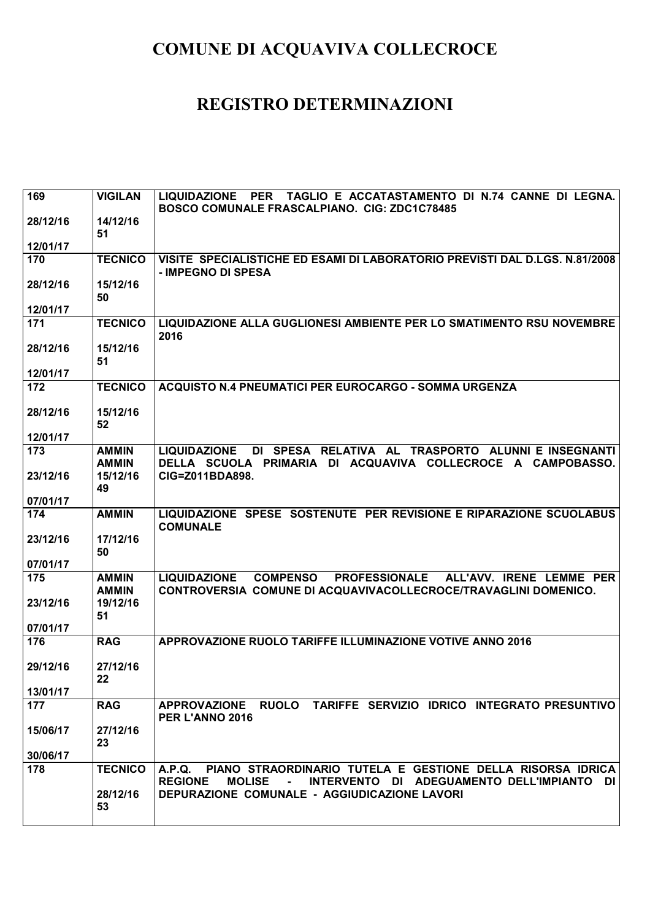| BOSCO COMUNALE FRASCALPIANO. CIG: ZDC1C78485<br>14/12/16<br>28/12/16<br>51<br>12/01/17                                                                                                               |           |
|------------------------------------------------------------------------------------------------------------------------------------------------------------------------------------------------------|-----------|
|                                                                                                                                                                                                      |           |
|                                                                                                                                                                                                      |           |
| 170<br>VISITE SPECIALISTICHE ED ESAMI DI LABORATORIO PREVISTI DAL D.LGS. N.81/2008<br><b>TECNICO</b>                                                                                                 |           |
| - IMPEGNO DI SPESA<br>15/12/16<br>28/12/16                                                                                                                                                           |           |
| 50<br>12/01/17                                                                                                                                                                                       |           |
| 171<br><b>TECNICO</b><br>LIQUIDAZIONE ALLA GUGLIONESI AMBIENTE PER LO SMATIMENTO RSU NOVEMBRE                                                                                                        |           |
| 2016                                                                                                                                                                                                 |           |
| 28/12/16<br>15/12/16<br>51                                                                                                                                                                           |           |
| 12/01/17                                                                                                                                                                                             |           |
| ACQUISTO N.4 PNEUMATICI PER EUROCARGO - SOMMA URGENZA<br>172<br><b>TECNICO</b>                                                                                                                       |           |
| 28/12/16<br>15/12/16<br>52                                                                                                                                                                           |           |
| 12/01/17                                                                                                                                                                                             |           |
| DI SPESA RELATIVA AL TRASPORTO ALUNNI E INSEGNANTI<br>173<br><b>AMMIN</b><br><b>LIQUIDAZIONE</b><br>DELLA SCUOLA PRIMARIA DI ACQUAVIVA COLLECROCE A CAMPOBASSO.<br><b>AMMIN</b>                      |           |
| 23/12/16<br>15/12/16<br>CIG=Z011BDA898.                                                                                                                                                              |           |
| 49<br>07/01/17                                                                                                                                                                                       |           |
| 174<br>LIQUIDAZIONE SPESE SOSTENUTE PER REVISIONE E RIPARAZIONE SCUOLABUS<br><b>AMMIN</b><br><b>COMUNALE</b>                                                                                         |           |
| 17/12/16<br>23/12/16<br>50                                                                                                                                                                           |           |
| 07/01/17                                                                                                                                                                                             |           |
| 175<br><b>AMMIN</b><br><b>LIQUIDAZIONE</b><br><b>COMPENSO</b><br><b>PROFESSIONALE</b><br>ALL'AVV. IRENE LEMME PER<br>CONTROVERSIA COMUNE DI ACQUAVIVACOLLECROCE/TRAVAGLINI DOMENICO.<br><b>AMMIN</b> |           |
| 23/12/16<br>19/12/16<br>51                                                                                                                                                                           |           |
| 07/01/17                                                                                                                                                                                             |           |
| APPROVAZIONE RUOLO TARIFFE ILLUMINAZIONE VOTIVE ANNO 2016<br>176<br><b>RAG</b>                                                                                                                       |           |
| 29/12/16<br>27/12/16                                                                                                                                                                                 |           |
| 22<br>13/01/17                                                                                                                                                                                       |           |
| APPROVAZIONE RUOLO TARIFFE SERVIZIO IDRICO INTEGRATO PRESUNTIVO<br>177<br><b>RAG</b><br>PER L'ANNO 2016                                                                                              |           |
| 27/12/16<br>15/06/17<br>23                                                                                                                                                                           |           |
| 30/06/17                                                                                                                                                                                             |           |
| 178<br><b>TECNICO</b><br>PIANO STRAORDINARIO TUTELA E GESTIONE DELLA RISORSA IDRICA<br>A.P.Q.                                                                                                        |           |
| <b>REGIONE</b><br><b>MOLISE</b><br>INTERVENTO DI ADEGUAMENTO DELL'IMPIANTO<br>$\sim$<br>DEPURAZIONE COMUNALE - AGGIUDICAZIONE LAVORI<br>28/12/16<br>53                                               | <b>DI</b> |